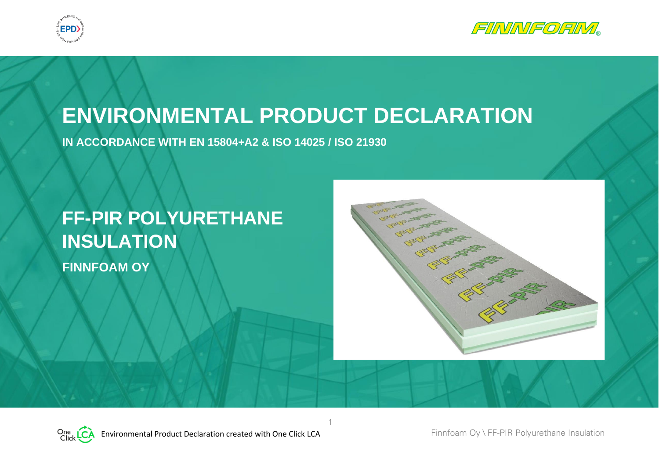



# **ENVIRONMENTAL PRODUCT DECLARATION**

1

**IN ACCORDANCE WITH EN 15804+A2 & ISO 14025 / ISO 21930**

# **FF-PIR POLYURETHANE INSULATION FINNFOAM OY**

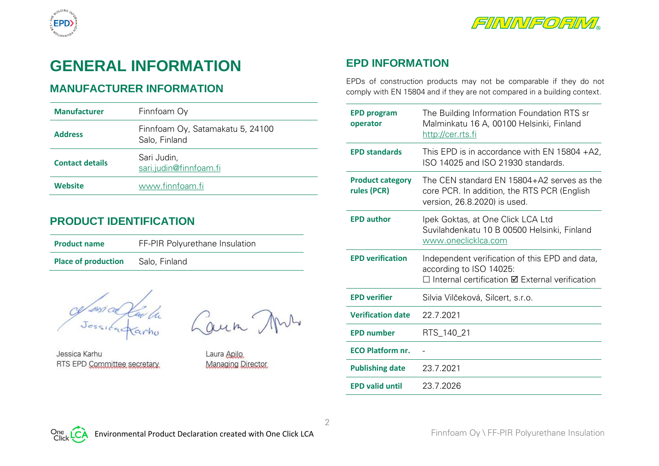



# **GENERAL INFORMATION**

## **MANUFACTURER INFORMATION**

| <b>Manufacturer</b>    | Finnfoam Oy                                       |
|------------------------|---------------------------------------------------|
| <b>Address</b>         | Finnfoam Oy, Satamakatu 5, 24100<br>Salo, Finland |
| <b>Contact details</b> | Sari Judin,<br>sari.judin@finnfoam.fi             |
| Website                | www.finnfoam.fi                                   |

#### **PRODUCT IDENTIFICATION**

| <b>Product name</b>        | FF-PIR Polyurethane Insulation |
|----------------------------|--------------------------------|
| <b>Place of production</b> | Salo, Finland                  |

cessialarla Cours

Jessica Karhu RTS EPD Committee secretary

Laura Apilo Managing Director

# **EPD INFORMATION**

EPDs of construction products may not be comparable if they do not comply with EN 15804 and if they are not compared in a building context.

| <b>EPD program</b><br>operator         | The Building Information Foundation RTS sr<br>Malminkatu 16 A, 00100 Helsinki, Finland<br>http://cer.rts.fi               |
|----------------------------------------|---------------------------------------------------------------------------------------------------------------------------|
| <b>EPD standards</b>                   | This EPD is in accordance with EN 15804 $+A2$ ,<br>ISO 14025 and ISO 21930 standards.                                     |
| <b>Product category</b><br>rules (PCR) | The CEN standard EN 15804+A2 serves as the<br>core PCR. In addition, the RTS PCR (English<br>version, 26.8.2020) is used. |
| <b>EPD author</b>                      | Ipek Goktas, at One Click LCA Ltd<br>Suvilahdenkatu 10 B 00500 Helsinki, Finland<br>www.oneclicklca.com                   |
| <b>EPD verification</b>                | Independent verification of this EPD and data,                                                                            |
|                                        | according to ISO 14025:<br>□ Internal certification <b>Ø</b> External verification                                        |
| <b>EPD verifier</b>                    | Silvia Vilčeková, Silcert, s.r.o.                                                                                         |
| <b>Verification date</b>               | 22.7.2021                                                                                                                 |
| <b>EPD number</b>                      | RTS_140_21                                                                                                                |
| <b>ECO Platform nr.</b>                |                                                                                                                           |
| <b>Publishing date</b>                 | 23.7.2021                                                                                                                 |



2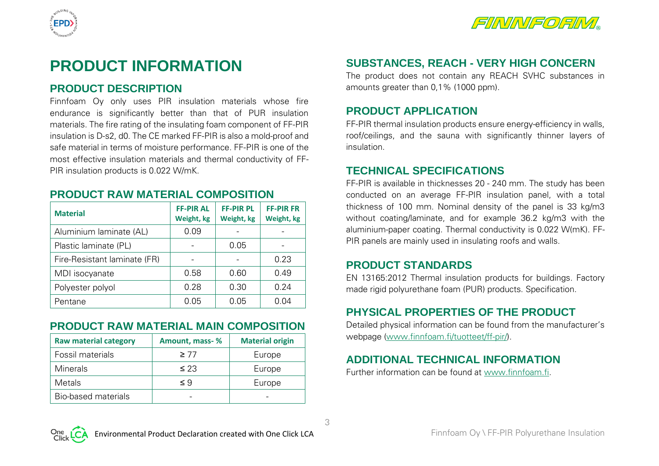



# **PRODUCT INFORMATION**

#### **PRODUCT DESCRIPTION**

Finnfoam Oy only uses PIR insulation materials whose fire endurance is significantly better than that of PUR insulation materials. The fire rating of the insulating foam component of FF-PIR insulation is D-s2, d0. The CE marked FF-PIR is also a mold-proof and safe material in terms of moisture performance. FF-PIR is one of the most effective insulation materials and thermal conductivity of FF-PIR insulation products is 0.022 W/mK.

#### **PRODUCT RAW MATERIAL COMPOSITION**

| <b>Material</b>              | <b>FF-PIR AL</b><br>Weight, kg | <b>FF-PIR PL</b><br>Weight, kg | <b>FF-PIR FR</b><br>Weight, kg |
|------------------------------|--------------------------------|--------------------------------|--------------------------------|
| Aluminium laminate (AL)      | 0.09                           |                                |                                |
| Plastic laminate (PL)        |                                | 0.05                           |                                |
| Fire-Resistant laminate (FR) |                                |                                | 0.23                           |
| MDI isocyanate               | 0.58                           | 0.60                           | 0.49                           |
| Polyester polyol             | 0.28                           | 0.30                           | 0.24                           |
| Pentane                      | 0.05                           | 0.05                           | 0.04                           |

# **PRODUCT RAW MATERIAL MAIN COMPOSITION**

| <b>Raw material category</b> | Amount, mass-% | <b>Material origin</b> |
|------------------------------|----------------|------------------------|
| Fossil materials             | $\geq 77$      | Europe                 |
| <b>Minerals</b>              | $\leq$ 23      | Europe                 |
| Metals                       | ≤ 9            | Europe                 |
| <b>Bio-based materials</b>   |                |                        |

# **SUBSTANCES, REACH - VERY HIGH CONCERN**

The product does not contain any REACH SVHC substances in amounts greater than 0,1% (1000 ppm).

#### **PRODUCT APPLICATION**

FF-PIR thermal insulation products ensure energy-efficiency in walls, roof/ceilings, and the sauna with significantly thinner layers of insulation.

#### **TECHNICAL SPECIFICATIONS**

FF-PIR is available in thicknesses 20 - 240 mm. The study has been conducted on an average FF-PIR insulation panel, with a total thickness of 100 mm. Nominal density of the panel is 33 kg/m3 without coating/laminate, and for example 36.2 kg/m3 with the aluminium-paper coating. Thermal conductivity is 0.022 W(mK). FF-PIR panels are mainly used in insulating roofs and walls.

#### **PRODUCT STANDARDS**

EN 13165:2012 Thermal insulation products for buildings. Factory made rigid polyurethane foam (PUR) products. Specification.

# **PHYSICAL PROPERTIES OF THE PRODUCT**

Detailed physical information can be found from the manufacturer's webpage (www.finnfoam.fi/tuotteet/ff-pir/).

# **ADDITIONAL TECHNICAL INFORMATION**

Further information can be found at www.finnfoam.fi.

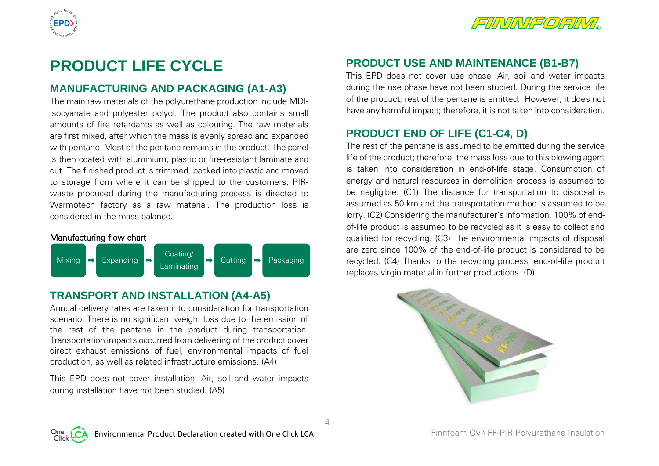



# **PRODUCT LIFE CYCLE**

## **MANUFACTURING AND PACKAGING (A1-A3)**

The main raw materials of the polyurethane production include MDIisocyanate and polyester polyol. The product also contains small amounts of fire retardants as well as colouring. The raw materials are first mixed, after which the mass is evenly spread and expanded with pentane. Most of the pentane remains in the product. The panel is then coated with aluminium, plastic or fire-resistant laminate and cut. The finished product is trimmed, packed into plastic and moved to storage from where it can be shipped to the customers. PIRwaste produced during the manufacturing process is directed to Warmotech factory as a raw material. The production loss is considered in the mass balance.



# **TRANSPORT AND INSTALLATION (A4-A5)**

Annual delivery rates are taken into consideration for transportation scenario. There is no significant weight loss due to the emission of the rest of the pentane in the product during transportation. Transportation impacts occurred from delivering of the product cover direct exhaust emissions of fuel, environmental impacts of fuel production, as well as related infrastructure emissions. (A4)

This EPD does not cover installation. Air, soil and water impacts during installation have not been studied. (A5)

# **PRODUCT USE AND MAINTENANCE (B1-B7)**

This EPD does not cover use phase. Air, soil and water impacts during the use phase have not been studied. During the service life of the product, rest of the pentane is emitted. However, it does not have any harmful impact; therefore, it is not taken into consideration.

# **PRODUCT END OF LIFE (C1-C4, D)**

The rest of the pentane is assumed to be emitted during the service life of the product; therefore, the mass loss due to this blowing agent is taken into consideration in end-of-life stage. Consumption of energy and natural resources in demolition process is assumed to be negligible. (C1) The distance for transportation to disposal is assumed as 50 km and the transportation method is assumed to be lorry. (C2) Considering the manufacturer's information, 100% of endof-life product is assumed to be recycled as it is easy to collect and qualified for recycling. (C3) The environmental impacts of disposal are zero since 100% of the end-of-life product is considered to be recycled. (C4) Thanks to the recycling process, end-of-life product replaces virgin material in further productions. (D)





 $\Delta$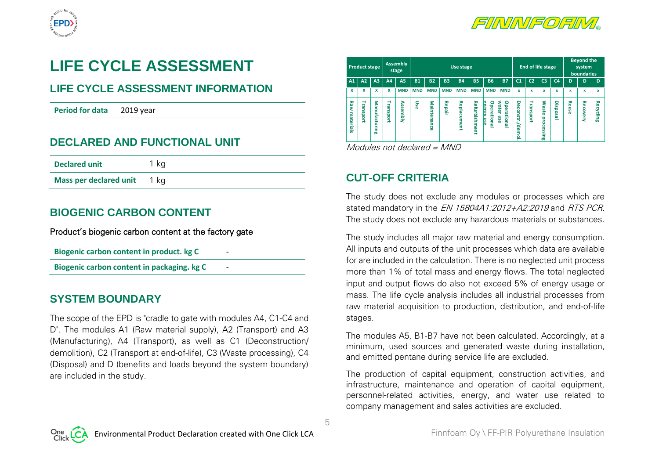



# **LIFE CYCLE ASSESSMENT**

# **LIFE CYCLE ASSESSMENT INFORMATION**

**Period for data** 2019 year

#### **DECLARED AND FUNCTIONAL UNIT**

| <b>Declared unit</b>          | 1 ka |  |
|-------------------------------|------|--|
| <b>Mass per declared unit</b> | 1 ka |  |

#### **BIOGENIC CARBON CONTENT**

Product's biogenic carbon content at the factory gate

|  |  | Biogenic carbon content in product. kg C |  |  |  |
|--|--|------------------------------------------|--|--|--|
|--|--|------------------------------------------|--|--|--|

**Biogenic carbon content in packaging. kg C** 

#### **SYSTEM BOUNDARY**

The scope of the EPD is "cradle to gate with modules A4, C1-C4 and D". The modules A1 (Raw material supply), A2 (Transport) and A3 (Manufacturing), A4 (Transport), as well as C1 (Deconstruction/ demolition), C2 (Transport at end-of-life), C3 (Waste processing), C4 (Disposal) and D (benefits and loads beyond the system boundary) are included in the study.

| <b>Product stage</b>                          |                                               |           | <b>Assembly</b><br>stage |            | Use stage   |            |                        |                           |                                   |                                 | End of life stage           |                    |                                            |                | <b>Beyond the</b><br>system<br>boundaries |                 |           |
|-----------------------------------------------|-----------------------------------------------|-----------|--------------------------|------------|-------------|------------|------------------------|---------------------------|-----------------------------------|---------------------------------|-----------------------------|--------------------|--------------------------------------------|----------------|-------------------------------------------|-----------------|-----------|
| A1<br>A2                                      | A <sub>3</sub>                                | A4        | <b>A5</b>                | <b>B1</b>  | <b>B2</b>   | <b>B3</b>  | <b>B4</b>              | <b>B5</b>                 | <b>B6</b>                         | <b>B7</b>                       | C <sub>1</sub>              | C <sub>2</sub>     | C <sub>3</sub>                             | C <sub>4</sub> | D                                         | D               | D         |
| X<br>x                                        | x                                             | X         | <b>MND</b>               | <b>MND</b> | <b>MND</b>  | <b>MND</b> | <b>MND</b>             | <b>MND</b>                | <b>MND</b>                        | <b>MND</b>                      | $\mathbf x$                 | $\mathbf x$        | x                                          | $\mathbf x$    | x                                         | x               | x         |
| ₹<br>Raw<br>نه<br>5<br>m<br>materials<br>ğort | Ξ<br>യ<br>틂<br>$\overline{a}$<br>Ξ<br>اس<br>س | Transport | <b>Assembly</b>          | Use        | Maintenance | Repai      | Repla<br>႙<br>Ë<br>ēnt | <b>Refurbish</b><br>lment | o<br>e<br>ខូ<br>ē<br>ational<br>듰 | ۰<br>water<br>perational<br>mse | Deconstr./<br>Ω<br>emo<br>- | Tran<br>ū<br>ioort | ٤<br><b>aste</b><br>proces<br>≌.<br>5<br>œ | Disposal       | Reuse                                     | <b>Recovery</b> | Recycling |

Modules not declared = MND

# **CUT-OFF CRITERIA**

5

The study does not exclude any modules or processes which are stated mandatory in the EN 15804A1:2012+A2:2019 and RTS PCR. The study does not exclude any hazardous materials or substances.

The study includes all major raw material and energy consumption. All inputs and outputs of the unit processes which data are available for are included in the calculation. There is no neglected unit process more than 1% of total mass and energy flows. The total neglected input and output flows do also not exceed 5% of energy usage or mass. The life cycle analysis includes all industrial processes from raw material acquisition to production, distribution, and end-of-life stages.

The modules A5, B1-B7 have not been calculated. Accordingly, at a minimum, used sources and generated waste during installation, and emitted pentane during service life are excluded.

The production of capital equipment, construction activities, and infrastructure, maintenance and operation of capital equipment, personnel-related activities, energy, and water use related to company management and sales activities are excluded.

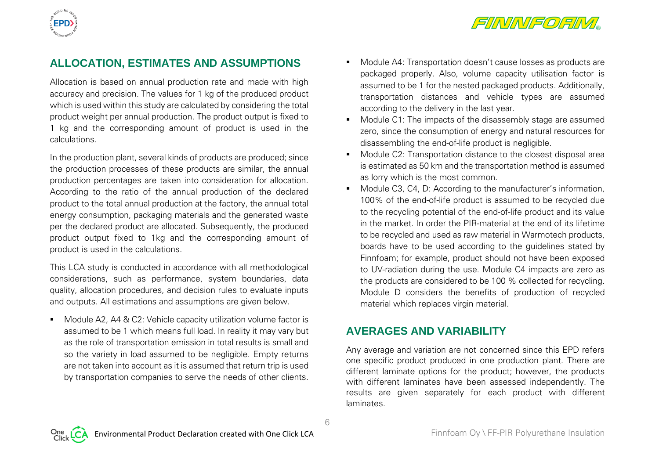

## **ALLOCATION, ESTIMATES AND ASSUMPTIONS**

Allocation is based on annual production rate and made with high accuracy and precision. The values for 1 kg of the produced product which is used within this study are calculated by considering the total product weight per annual production. The product output is fixed to 1 kg and the corresponding amount of product is used in the calculations.

In the production plant, several kinds of products are produced; since the production processes of these products are similar, the annual production percentages are taken into consideration for allocation. According to the ratio of the annual production of the declared product to the total annual production at the factory, the annual total energy consumption, packaging materials and the generated waste per the declared product are allocated. Subsequently, the produced product output fixed to 1kg and the corresponding amount of product is used in the calculations.

This LCA study is conducted in accordance with all methodological considerations, such as performance, system boundaries, data quality, allocation procedures, and decision rules to evaluate inputs and outputs. All estimations and assumptions are given below.

■ Module A2, A4 & C2: Vehicle capacity utilization volume factor is assumed to be 1 which means full load. In reality it may vary but as the role of transportation emission in total results is small and so the variety in load assumed to be negligible. Empty returns are not taken into account as it is assumed that return trip is used by transportation companies to serve the needs of other clients.

- Module A4: Transportation doesn't cause losses as products are packaged properly. Also, volume capacity utilisation factor is assumed to be 1 for the nested packaged products. Additionally, transportation distances and vehicle types are assumed according to the delivery in the last year.
- Module C1: The impacts of the disassembly stage are assumed zero, since the consumption of energy and natural resources for disassembling the end-of-life product is negligible.
- Module C2: Transportation distance to the closest disposal area is estimated as 50 km and the transportation method is assumed as lorry which is the most common.
- Module C3, C4, D: According to the manufacturer's information, 100% of the end-of-life product is assumed to be recycled due to the recycling potential of the end-of-life product and its value in the market. In order the PIR-material at the end of its lifetime to be recycled and used as raw material in Warmotech products, boards have to be used according to the guidelines stated by Finnfoam; for example, product should not have been exposed to UV-radiation during the use. Module C4 impacts are zero as the products are considered to be 100 % collected for recycling. Module D considers the benefits of production of recycled material which replaces virgin material.

#### **AVERAGES AND VARIABILITY**

6

Any average and variation are not concerned since this EPD refers one specific product produced in one production plant. There are different laminate options for the product; however, the products with different laminates have been assessed independently. The results are given separately for each product with different laminates.

EPD)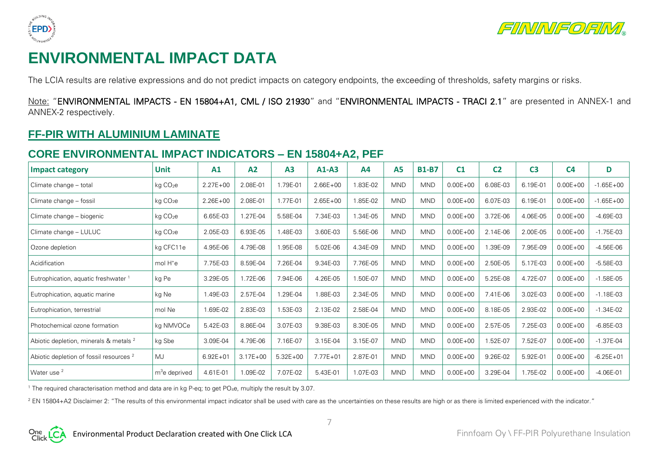



# **ENVIRONMENTAL IMPACT DATA**

The LCIA results are relative expressions and do not predict impacts on category endpoints, the exceeding of thresholds, safety margins or risks.

Note: "ENVIRONMENTAL IMPACTS - EN 15804+A1, CML / ISO 21930" and "ENVIRONMENTAL IMPACTS - TRACI 2.1" are presented in ANNEX-1 and ANNEX-2 respectively.

#### **FF-PIR WITH ALUMINIUM LAMINATE**

#### **CORE ENVIRONMENTAL IMPACT INDICATORS – EN 15804+A2, PEF**

| <b>Impact category</b>                             | <b>Unit</b>          | A1           | A2           | A <sub>3</sub> | $A1-A3$      | A4       | <b>A5</b>  | <b>B1-B7</b> | C <sub>1</sub> | C <sub>2</sub> | C <sub>3</sub> | C <sub>4</sub> | D             |
|----------------------------------------------------|----------------------|--------------|--------------|----------------|--------------|----------|------------|--------------|----------------|----------------|----------------|----------------|---------------|
| Climate change - total                             | kg CO <sub>2</sub> e | $2.27E + 00$ | 2.08E-01     | 1.79E-01       | $2.66E + 00$ | 1.83E-02 | <b>MND</b> | <b>MND</b>   | $0.00E + 00$   | 6.08E-03       | 6.19E-01       | $0.00E + 00$   | $-1.65E + 00$ |
| Climate change - fossil                            | kg CO <sub>2</sub> e | $2.26E + 00$ | 2.08E-01     | 1.77E-01       | $2.65E + 00$ | 1.85E-02 | <b>MND</b> | <b>MND</b>   | $0.00E + 00$   | 6.07E-03       | 6.19E-01       | $0.00E + 00$   | $-1.65E + 00$ |
| Climate change - biogenic                          | kg CO <sub>2</sub> e | 6.65E-03     | 1.27E-04     | 5.58E-04       | 7.34E-03     | 1.34E-05 | <b>MND</b> | <b>MND</b>   | $0.00E + 00$   | 3.72E-06       | 4.06E-05       | $0.00E + 00$   | $-4.69E-03$   |
| Climate change - LULUC                             | kg CO <sub>2</sub> e | 2.05E-03     | 6.93E-05     | 1.48E-03       | 3.60E-03     | 5.56E-06 | <b>MND</b> | <b>MND</b>   | $0.00E + 00$   | 2.14E-06       | 2.00E-05       | $0.00E + 00$   | $-1.75E-03$   |
| Ozone depletion                                    | kg CFC11e            | 4.95E-06     | 4.79E-08     | .95E-08        | 5.02E-06     | 4.34E-09 | <b>MND</b> | <b>MND</b>   | $0.00E + 00$   | 1.39E-09       | 7.95E-09       | $0.00E + 00$   | $-4.56E-06$   |
| Acidification                                      | mol $H^+e$           | 7.75E-03     | 8.59E-04     | 7.26E-04       | 9.34E-03     | 7.76E-05 | <b>MND</b> | <b>MND</b>   | $0.00E + 00$   | 2.50E-05       | 5.17E-03       | $0.00E + 00$   | $-5.58E-03$   |
| Eutrophication, aquatic freshwater 1               | kg Pe                | 3.29E-05     | 1.72E-06     | 7.94E-06       | 4.26E-05     | 1.50E-07 | <b>MND</b> | <b>MND</b>   | $0.00E + 00$   | 5.25E-08       | 4.72E-07       | $0.00E + 00$   | $-1.58E-05$   |
| Eutrophication, aquatic marine                     | kg Ne                | 1.49E-03     | 2.57E-04     | 1.29E-04       | 1.88E-03     | 2.34E-05 | <b>MND</b> | <b>MND</b>   | $0.00E + 00$   | 7.41E-06       | 3.02E-03       | $0.00E + 00$   | $-1.18E-03$   |
| Eutrophication, terrestrial                        | mol Ne               | 1.69E-02     | 2.83E-03     | .53E-03        | 2.13E-02     | 2.58E-04 | <b>MND</b> | <b>MND</b>   | $0.00E + 00$   | 8.18E-05       | 2.93E-02       | $0.00E + 00$   | $-1.34E-02$   |
| Photochemical ozone formation                      | kg NMVOCe            | 5.42E-03     | 8.86E-04     | 3.07E-03       | 9.38E-03     | 8.30E-05 | <b>MND</b> | <b>MND</b>   | $0.00E + 00$   | 2.57E-05       | 7.25E-03       | $0.00E + 00$   | $-6.85E-03$   |
| Abiotic depletion, minerals & metals <sup>2</sup>  | kg Sbe               | 3.09E-04     | 4.79E-06     | 7.16E-07       | 3.15E-04     | 3.15E-07 | <b>MND</b> | <b>MND</b>   | $0.00E + 00$   | 1.52E-07       | 7.52E-07       | $0.00E + 00$   | $-1.37E-04$   |
| Abiotic depletion of fossil resources <sup>2</sup> | <b>MJ</b>            | $6.92E + 01$ | $3.17E + 00$ | $5.32E + 00$   | $7.77E + 01$ | 2.87E-01 | <b>MND</b> | <b>MND</b>   | $0.00E + 00$   | 9.26E-02       | 5.92E-01       | $0.00E + 00$   | $-6.25E + 01$ |
| Water use <sup>2</sup>                             | $m3e$ deprived       | 4.61E-01     | 1.09E-02     | 7.07E-02       | 5.43E-01     | 1.07E-03 | <b>MND</b> | <b>MND</b>   | $0.00E + 00$   | 3.29E-04       | 1.75E-02       | $0.00E + 00$   | $-4.06E - 01$ |

<sup>1</sup> The required characterisation method and data are in kg P-eq; to get PO<sub>4</sub>e, multiply the result by 3.07.

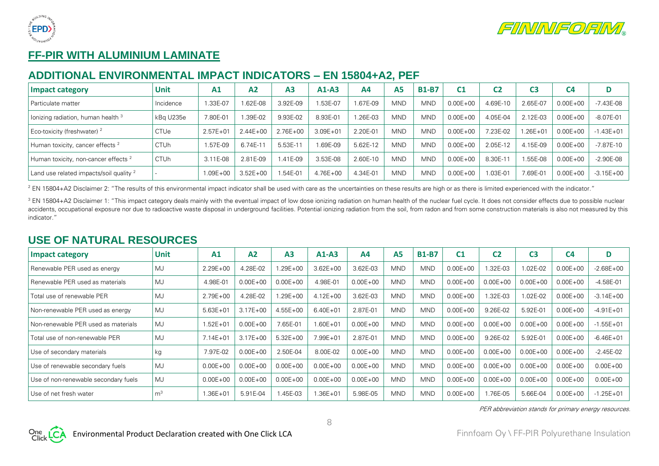



# **FF-PIR WITH ALUMINIUM LAMINATE**

#### **ADDITIONAL ENVIRONMENTAL IMPACT INDICATORS – EN 15804+A2, PEF**

| Impact category                                 | Unit        | A1           | A <sub>2</sub> | A <sub>3</sub> | $A1-A3$      | A <sub>4</sub> | A5         | <b>B1-B7</b> | C1           | C2        | C3           | C4           | D             |
|-------------------------------------------------|-------------|--------------|----------------|----------------|--------------|----------------|------------|--------------|--------------|-----------|--------------|--------------|---------------|
| Particulate matter                              | Incidence   | .33E-07      | $.62E-08$      | 3.92E-09       | .53E-07      | .67E-09        | <b>MND</b> | <b>MND</b>   | $0.00E + 00$ | 4.69E-10  | 2.65E-07     | $0.00E + 00$ | -7.43E-08     |
| lonizing radiation, human health 3              | kBg U235e   | 7.80E-01     | .39E-02        | 9.93E-02       | 8.93E-01     | 1.26E-03       | <b>MND</b> | <b>MND</b>   | $0.00E + 00$ | 4.05E-04  | 2.12E-03     | $0.00E + 00$ | $-8.07E - 01$ |
| Eco-toxicity (freshwater) <sup>2</sup>          | <b>CTUe</b> | $2.57E + 01$ | $2.44E + 00$   | 2.76E+00       | $3.09E + 01$ | 2.20E-01       | <b>MND</b> | <b>MND</b>   | $0.00E + 00$ | .23E-02   | $1.26E + 01$ | $0.00E + 00$ | $-1.43E + 01$ |
| Human toxicity, cancer effects <sup>2</sup>     | <b>CTUh</b> | 1.57E-09     | 6.74E-11       | 5.53E-1        | .69E-09      | 5.62E-12       | <b>MND</b> | <b>MND</b>   | $0.00E + 00$ | 2.05E-12  | 4.15E-09     | $0.00E + 00$ | $-7.87E-10$   |
| Human toxicity, non-cancer effects <sup>2</sup> | <b>CTUh</b> | 3.11E-08     | 2.81E-09       | $.41E - 0.9$   | 3.53E-08     | 2.60E-10       | <b>MND</b> | <b>MND</b>   | $0.00E + 00$ | 8.30E-1   | .55E-08      | $0.00E + 00$ | $-2.90E-08$   |
| Land use related impacts/soil quality $^2$      |             | 1.09E+00     | $3.52E + 00$   | .54E-01        | $4.76E + 00$ | 4.34E-01       | <b>MND</b> | <b>MND</b>   | $0.00E + 00$ | $.03E-01$ | 7.69E-01     | $0.00E + 00$ | $-3.15E+00$   |

<sup>2</sup> EN 15804+A2 Disclaimer 2: "The results of this environmental impact indicator shall be used with care as the uncertainties on these results are high or as there is limited experienced with the indicator."

<sup>3</sup> EN 15804+A2 Disclaimer 1: "This impact category deals mainly with the eventual impact of low dose ionizing radiation on human health of the nuclear fuel cycle. It does not consider effects due to possible nuclear accidents, occupational exposure nor due to radioactive waste disposal in underground facilities. Potential ionizing radiation from the soil, from radon and from some construction materials is also not measured by this indicator."

#### **USE OF NATURAL RESOURCES**

| <b>Impact category</b>               | <b>Unit</b>    | A1           | A2           | A <sub>3</sub> | $A1-A3$      | A <sub>4</sub> | A <sub>5</sub> | <b>B1-B7</b> | C <sub>1</sub> | C <sub>2</sub> | C <sub>3</sub> | C <sub>4</sub> | D             |
|--------------------------------------|----------------|--------------|--------------|----------------|--------------|----------------|----------------|--------------|----------------|----------------|----------------|----------------|---------------|
| Renewable PER used as energy         | MJ             | $2.29E + 00$ | 4.28E-02     | $.29E + 00$    | $3.62E + 00$ | 3.62E-03       | <b>MND</b>     | <b>MND</b>   | $0.00E + 00$   | 1.32E-03       | $.02E-02$      | $0.00E + 00$   | $-2.68E + 00$ |
| Renewable PER used as materials      | MJ             | 4.98E-01     | $0.00E + 00$ | $0.00E + 00$   | 4.98E-01     | $0.00E + 00$   | <b>MND</b>     | <b>MND</b>   | $0.00E + 00$   | $0.00E + 00$   | $0.00E + 00$   | $0.00E + 00$   | $-4.58E - 01$ |
| Total use of renewable PER           | <b>MJ</b>      | $2.79E + 00$ | 4.28E-02     | $.29E + 00$    | $4.12E + 00$ | 3.62E-03       | <b>MND</b>     | <b>MND</b>   | $0.00E + 00$   | 1.32E-03       | 1.02E-02       | $0.00E + 00$   | $-3.14E + 00$ |
| Non-renewable PER used as energy     | MJ             | $5.63E + 01$ | $3.17E + 00$ | $4.55E + 00$   | $6.40E + 01$ | 2.87E-01       | <b>MND</b>     | <b>MND</b>   | $0.00E + 00$   | 9.26E-02       | 5.92E-01       | $0.00E + 00$   | $-4.91E + 01$ |
| Non-renewable PER used as materials  | MJ             | $1.52E + 01$ | $0.00E + 00$ | 7.65E-01       | $1.60E + 01$ | $0.00E + 00$   | <b>MND</b>     | <b>MND</b>   | $0.00E + 00$   | $0.00E + 00$   | $0.00E + 00$   | $0.00E + 00$   | $-1.55E + 01$ |
| Total use of non-renewable PER       | MJ             | $7.14E + 01$ | $3.17E + 00$ | $5.32E + 00$   | $7.99E + 01$ | 2.87E-01       | <b>MND</b>     | <b>MND</b>   | $0.00E + 00$   | 9.26E-02       | 5.92E-01       | $0.00E + 00$   | $-6.46E + 01$ |
| Use of secondary materials           | kg             | 7.97E-02     | $0.00E + 00$ | 2.50E-04       | 8.00E-02     | $0.00E + 00$   | <b>MND</b>     | <b>MND</b>   | $0.00E + 00$   | $0.00E + 00$   | $0.00E + 00$   | $0.00E + 00$   | $-2.45E-02$   |
| Use of renewable secondary fuels     | MJ             | $0.00E + 00$ | $0.00E + 00$ | $0.00E + 00$   | $0.00E + 00$ | $0.00E + 00$   | <b>MND</b>     | <b>MND</b>   | $0.00E + 00$   | $0.00E + 00$   | $0.00E + 00$   | $0.00E + 00$   | $0.00E + 00$  |
| Use of non-renewable secondary fuels | MJ             | $0.00E + 00$ | $0.00E + 00$ | $0.00E + 00$   | $0.00E + 00$ | $0.00E + 00$   | <b>MND</b>     | <b>MND</b>   | $0.00E + 00$   | $0.00E + 00$   | $0.00E + 00$   | $0.00E + 00$   | $0.00E + 00$  |
| Use of net fresh water               | m <sup>3</sup> | 1.36E+01     | 5.91E-04     | .45E-03        | 1.36E+01     | 5.98E-05       | <b>MND</b>     | <b>MND</b>   | $0.00E + 00$   | 1.76E-05       | 5.66E-04       | $0.00E + 00$   | $-1.25E + 01$ |

PER abbreviation stands for primary energy resources.



8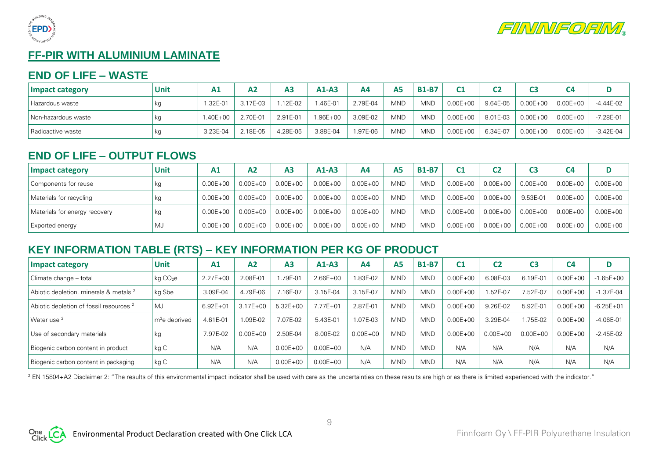



# **FF-PIR WITH ALUMINIUM LAMINATE**

#### **END OF LIFE – WASTE**

| Impact category     | Unit | A <sub>1</sub> | A2       | A <sub>3</sub> | $A1-A3$  | A4       | A5  | <b>B1-B7</b> | C <sub>1</sub> | C <sub>2</sub> |              | C <sub>4</sub> |               |
|---------------------|------|----------------|----------|----------------|----------|----------|-----|--------------|----------------|----------------|--------------|----------------|---------------|
| l Hazardous waste   |      | 1.32E-01       | 3.17E-03 | $.12E-02$      | I.46E-01 | 2.79E-04 | MND | <b>MND</b>   | $0.00E + 00$   | 9.64E-05       | $0.00E + 00$ | $0.00E + 00$   | -4.44E-02     |
| Non-hazardous waste |      | $.40E + 00$    | 2.70E-01 | 2.91E-01       | 1.96E+00 | 3.09E-02 | MND | <b>MND</b>   | $0.00E + 00$   | 8.01E-03       | $0.00E + 00$ | $0.00E + 00$   | $-7.28E - 01$ |
| Radioactive waste   | kg   | 3.23E-04       | 2.18E-05 | 4.28E-05       | 3.88E-04 | 1.97E-06 | MND | <b>MND</b>   | $0.00E + 00$   | 6.34E-07       | $0.00E + 00$ | $0.00E + 00$   | $-3.42E - 04$ |

## **END OF LIFE – OUTPUT FLOWS**

| Impact category               | Unit | A1           | Α2           | A <sub>3</sub> | $A1-A3$      | A4           | A <sub>5</sub> | <b>B1-B7</b> | C <sub>1</sub> | C <sub>2</sub> |              | C <sub>4</sub> |              |
|-------------------------------|------|--------------|--------------|----------------|--------------|--------------|----------------|--------------|----------------|----------------|--------------|----------------|--------------|
| Components for reuse          | кg   | $0.00E + 00$ | $0.00E + 00$ | $0.00E + 00$   | $0.00E + 00$ | $0.00E + 00$ | <b>MND</b>     | <b>MND</b>   | $0.00E + 00$   | $0.00E + 00$   | $0.00E + 00$ | $0.00E + 00$   | $0.00E + 00$ |
| Materials for recycling       | кg   | $0.00E + 00$ | $0.00E + 00$ | $0.00E + 00$   | $0.00E + 00$ | $0.00E + 00$ | <b>MND</b>     | <b>MND</b>   | $0.00E + 00$   | $0.00E + 00$   | 9.53E-01     | $0.00E + 00$   | $0.00E + 00$ |
| Materials for energy recovery | кg   | $0.00E + 00$ | $0.00E + 00$ | $0.00E + 00$   | $0.00E + 00$ | $0.00E + 00$ | <b>MND</b>     | <b>MND</b>   | $0.00E + 00$   | $0.00E + 00$   | $0.00E + 00$ | $0.00E + 00$   | $0.00E + 00$ |
| Exported energy               | MJ   | $0.00E + 00$ | $0.00E + 00$ | $0.00E + 00$   | $0.00E + 00$ | $0.00E + 00$ | <b>MND</b>     | <b>MND</b>   | $0.00E + 00$   | $0.00E + 00$   | $0.00E + 00$ | $0.00E + 00$   | $0.00E + 00$ |

# **KEY INFORMATION TABLE (RTS) – KEY INFORMATION PER KG OF PRODUCT**

| <b>Impact category</b>                             | <b>Unit</b>               | A1           | A <sub>2</sub> | A <sub>3</sub> | $A1-A3$      | A4           | A <sub>5</sub> | <b>B1-B7</b> | C1           | C <sub>2</sub> | C3           | C <sub>4</sub> |               |
|----------------------------------------------------|---------------------------|--------------|----------------|----------------|--------------|--------------|----------------|--------------|--------------|----------------|--------------|----------------|---------------|
| Climate change - total                             | kg CO <sub>2</sub> e      | $2.27E + 00$ | 2.08E-01       | .79E-01        | $2.66E + 00$ | .83E-02      | <b>MND</b>     | <b>MND</b>   | $0.00E + 00$ | 6.08E-03       | 6.19E-01     | $0.00E + 00$   | $-1.65E + 00$ |
| Abiotic depletion. minerals & metals <sup>2</sup>  | kg Sbe                    | 3.09E-04     | 4.79E-06       | 16E-07         | 3.15E-04     | 3.15E-07     | <b>MND</b>     | <b>MND</b>   | $0.00E + 00$ | .52E-07        | 7.52E-07     | $0.00E + 00$   | $-1.37E - 04$ |
| Abiotic depletion of fossil resources <sup>2</sup> | MJ                        | $6.92E + 01$ | $3.17E + 00$   | $5.32E + 00$   | $7.77E + 01$ | 2.87E-01     | <b>MND</b>     | <b>MND</b>   | $0.00E + 00$ | 9.26E-02       | 5.92E-01     | $0.00E + 00$   | $-6.25E + 01$ |
| Water use <sup>2</sup>                             | m <sup>3</sup> e deprived | 4.61E-01     | $.09E-02$      | 7.07E-02       | 5.43E-01     | 1.07E-03     | <b>MND</b>     | <b>MND</b>   | $0.00E + 00$ | 3.29E-04       | .75E-02      | $0.00E + 00$   | $-4.06E - 01$ |
| Use of secondary materials                         | kg                        | 7.97E-02     | $0.00E + 00$   | 2.50E-04       | 8.00E-02     | $0.00E + 00$ | <b>MND</b>     | <b>MND</b>   | $0.00E + 00$ | $0.00E + 00$   | $0.00E + 00$ | $0.00E + 00$   | $-2.45E-02$   |
| Biogenic carbon content in product                 | kg C                      | N/A          | N/A            | $0.00E + 00$   | $0.00E + 00$ | N/A          | <b>MND</b>     | <b>MND</b>   | N/A          | N/A            | N/A          | N/A            | N/A           |
| Biogenic carbon content in packaging               | kg C                      | N/A          | N/A            | $0.00E + 00$   | $0.00E + 00$ | N/A          | <b>MND</b>     | <b>MND</b>   | N/A          | N/A            | N/A          | N/A            | N/A           |

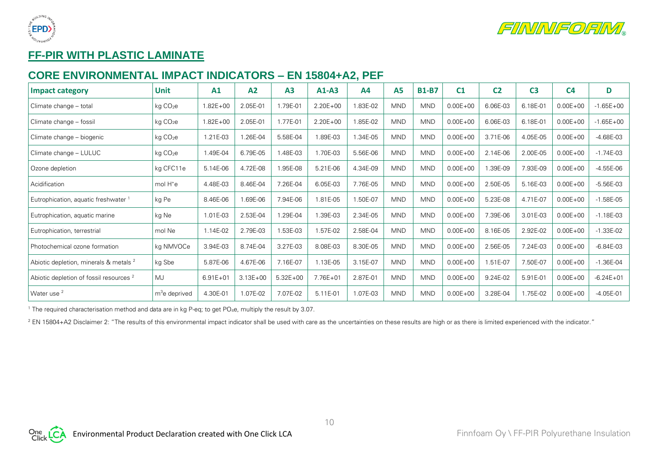



# **FF-PIR WITH PLASTIC LAMINATE**

#### **CORE ENVIRONMENTAL IMPACT INDICATORS – EN 15804+A2, PEF**

| Impact category                                    | <b>Unit</b>          | A1           | A2           | A3           | $A1-A3$      | A <sub>4</sub> | <b>A5</b>  | <b>B1-B7</b> | C <sub>1</sub> | C <sub>2</sub> | C <sub>3</sub> | C <sub>4</sub> | D             |
|----------------------------------------------------|----------------------|--------------|--------------|--------------|--------------|----------------|------------|--------------|----------------|----------------|----------------|----------------|---------------|
| Climate change - total                             | kg CO <sub>2</sub> e | $.82E + 00$  | 2.05E-01     | 1.79E-01     | $2.20E + 00$ | 1.83E-02       | <b>MND</b> | <b>MND</b>   | $0.00E + 00$   | 6.06E-03       | 6.18E-01       | $0.00E + 00$   | $-1.65E + 00$ |
| Climate change - fossil                            | kg CO <sub>2</sub> e | $.82E + 00$  | 2.05E-01     | 1.77E-01     | $2.20E + 00$ | 1.85E-02       | <b>MND</b> | <b>MND</b>   | $0.00E + 00$   | 6.06E-03       | 6.18E-01       | $0.00E + 00$   | $-1.65E + 00$ |
| Climate change – biogenic                          | kg CO <sub>2</sub> e | 1.21E-03     | 1.26E-04     | 5.58E-04     | 1.89E-03     | 1.34E-05       | <b>MND</b> | <b>MND</b>   | $0.00E + 00$   | 3.71E-06       | 4.05E-05       | $0.00E + 00$   | $-4.68E-03$   |
| Climate change - LULUC                             | kg CO <sub>2</sub> e | .49E-04      | 6.79E-05     | 1.48E-03     | 1.70E-03     | 5.56E-06       | <b>MND</b> | <b>MND</b>   | $0.00E + 00$   | 2.14E-06       | 2.00E-05       | $0.00E + 00$   | $-1.74E-03$   |
| Ozone depletion                                    | kg CFC11e            | 5.14E-06     | 4.72E-08     | 1.95E-08     | 5.21E-06     | 4.34E-09       | <b>MND</b> | <b>MND</b>   | $0.00E + 00$   | .39E-09        | 7.93E-09       | $0.00E + 00$   | $-4.55E-06$   |
| Acidification                                      | mol H <sup>+</sup> e | 4.48E-03     | 8.46E-04     | 7.26E-04     | 6.05E-03     | 7.76E-05       | <b>MND</b> | <b>MND</b>   | $0.00E + 00$   | 2.50E-05       | 5.16E-03       | $0.00E + 00$   | $-5.56E-03$   |
| Eutrophication, aquatic freshwater 1               | kg Pe                | 8.46E-06     | 1.69E-06     | 7.94E-06     | 1.81E-05     | 1.50E-07       | <b>MND</b> | <b>MND</b>   | $0.00E + 00$   | 5.23E-08       | 4.71E-07       | $0.00E + 00$   | $-1.58E-05$   |
| Eutrophication, aquatic marine                     | kg Ne                | 1.01E-03     | 2.53E-04     | 1.29E-04     | 1.39E-03     | 2.34E-05       | <b>MND</b> | <b>MND</b>   | $0.00E + 00$   | 7.39E-06       | 3.01E-03       | $0.00E + 00$   | $-1.18E-03$   |
| Eutrophication, terrestrial                        | mol Ne               | 1.14E-02     | 2.79E-03     | 1.53E-03     | .57E-02      | 2.58E-04       | <b>MND</b> | <b>MND</b>   | $0.00E + 00$   | 8.16E-05       | 2.92E-02       | $0.00E + 00$   | $-1.33E-02$   |
| Photochemical ozone formation                      | kg NMVOCe            | 3.94E-03     | 8.74E-04     | 3.27E-03     | 8.08E-03     | 8.30E-05       | <b>MND</b> | <b>MND</b>   | $0.00E + 00$   | 2.56E-05       | 7.24E-03       | $0.00E + 00$   | $-6.84E-03$   |
| Abiotic depletion, minerals & metals <sup>2</sup>  | kg Sbe               | 5.87E-06     | 4.67E-06     | 7.16E-07     | 1.13E-05     | 3.15E-07       | <b>MND</b> | <b>MND</b>   | $0.00E + 00$   | 1.51E-07       | 7.50E-07       | $0.00E + 00$   | $-1.36E - 04$ |
| Abiotic depletion of fossil resources <sup>2</sup> | MJ                   | $6.91E + 01$ | $3.13E + 00$ | $5.32E + 00$ | 7.76E+01     | 2.87E-01       | <b>MND</b> | <b>MND</b>   | $0.00E + 00$   | 9.24E-02       | 5.91E-01       | $0.00E + 00$   | $-6.24E + 01$ |
| Water use <sup>2</sup>                             | $m3e$ deprived       | 4.30E-01     | 1.07E-02     | 7.07E-02     | 5.11E-01     | 1.07E-03       | <b>MND</b> | <b>MND</b>   | $0.00E + 00$   | 3.28E-04       | 1.75E-02       | $0.00E + 00$   | $-4.05E-01$   |

<sup>1</sup> The required characterisation method and data are in kg P-eq; to get PO<sub>4</sub>e, multiply the result by 3.07.

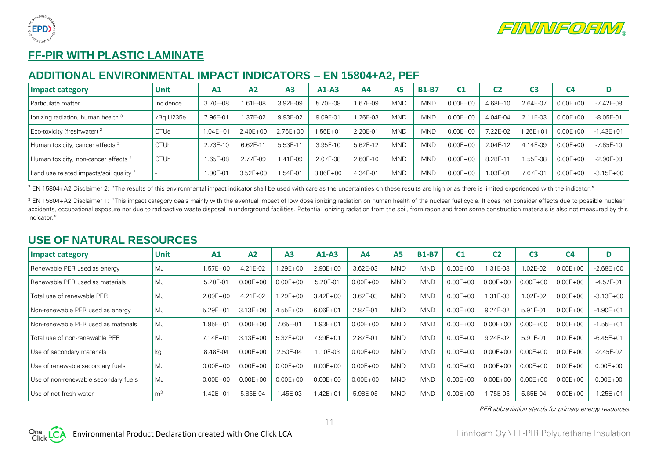



# **FF-PIR WITH PLASTIC LAMINATE**

#### **ADDITIONAL ENVIRONMENTAL IMPACT INDICATORS – EN 15804+A2, PEF**

| Impact category                                 | Unit        | A <sub>1</sub> | A2           | A <sub>3</sub> | $A1-A3$      | Α4       | <b>A5</b>  | <b>B1-B7</b> | C1           | C2                 | C3          | C <sub>4</sub> |               |
|-------------------------------------------------|-------------|----------------|--------------|----------------|--------------|----------|------------|--------------|--------------|--------------------|-------------|----------------|---------------|
| Particulate matter                              | Incidence   | 3.70E-08       | 1.61E-08     | 3.92E-09       | 5.70E-08     | 1.67E-09 | <b>MND</b> | <b>MND</b>   | $0.00E + 00$ | 4.68E-10           | 2.64E-07    | $0.00E + 00$   | -7.42E-08     |
| lonizing radiation, human health <sup>3</sup>   | kBa U235e   | 7.96E-01       | .37E-02      | 9.93E-02       | 9.09E-01     | 1.26E-03 | <b>MND</b> | <b>MND</b>   | $0.00E + 00$ | 4.04E-04           | 2.11E-03    | $0.00E + 00$   | $-8.05E-01$   |
| Eco-toxicity (freshwater) <sup>2</sup>          | <b>CTUe</b> | $1.04E + 01$   | $2.40E + 00$ | $2.76E + 00$   | $.56E + 01$  | 2.20E-01 | <b>MND</b> | <b>MND</b>   | $0.00E + 00$ | 22E-02             | $.26E + 01$ | $0.00E + 00$   | $-1.43E + 01$ |
| Human toxicity, cancer effects <sup>2</sup>     | <b>CTUh</b> | 2.73E-10       | $6.62E-1$    | 5.53E-11       | 3.95E-10     | 5.62E-12 | MND        | <b>MND</b>   | $0.00E + 00$ | 2.04E-12           | 4.14E-09    | $0.00E + 00$   | $-7.85E-10$   |
| Human toxicity, non-cancer effects <sup>2</sup> | <b>CTUh</b> | 1.65E-08       | 2.77E-09     | $.41E - 0.9$   | 2.07E-08     | 2.60E-10 | <b>MND</b> | <b>MND</b>   | $0.00E + 00$ | 8.28E-1            | .55E-08     | $0.00E + 00$   | $-2.90E-08$   |
| Land use related impacts/soil quality $^2$      |             | 1.90E-01       | $3.52E + 00$ | $.54E-01$      | $3.86E + 00$ | 4.34E-01 | <b>MND</b> | <b>MND</b>   | $0.00E + 00$ | $.03E - 0^{\circ}$ | 7.67E-01    | $0.00E + 00$   | $-3.15E + 00$ |

<sup>2</sup> EN 15804+A2 Disclaimer 2: "The results of this environmental impact indicator shall be used with care as the uncertainties on these results are high or as there is limited experienced with the indicator."

<sup>3</sup> EN 15804+A2 Disclaimer 1: "This impact category deals mainly with the eventual impact of low dose ionizing radiation on human health of the nuclear fuel cycle. It does not consider effects due to possible nuclear accidents, occupational exposure nor due to radioactive waste disposal in underground facilities. Potential ionizing radiation from the soil, from radon and from some construction materials is also not measured by this indicator."

#### **USE OF NATURAL RESOURCES**

| <b>Impact category</b>               | <b>Unit</b>    | A1           | A2           | A <sub>3</sub> | $A1-A3$      | A <sub>4</sub> | A <sub>5</sub> | <b>B1-B7</b> | C <sub>1</sub> | C <sub>2</sub> | C <sub>3</sub> | C <sub>4</sub> | D             |
|--------------------------------------|----------------|--------------|--------------|----------------|--------------|----------------|----------------|--------------|----------------|----------------|----------------|----------------|---------------|
| Renewable PER used as energy         | MJ             | $1.57E + 00$ | 4.21E-02     | $.29E + 00$    | $2.90E + 00$ | 3.62E-03       | <b>MND</b>     | <b>MND</b>   | $0.00E + 00$   | 1.31E-03       | $.02E-02$      | $0.00E + 00$   | $-2.68E + 00$ |
| Renewable PER used as materials      | MJ             | 5.20E-01     | $0.00E + 00$ | $0.00E + 00$   | 5.20E-01     | $0.00E + 00$   | <b>MND</b>     | <b>MND</b>   | $0.00E + 00$   | $0.00E + 00$   | $0.00E + 00$   | $0.00E + 00$   | $-4.57E-01$   |
| Total use of renewable PER           | <b>MJ</b>      | $2.09E + 00$ | 4.21E-02     | $.29E + 00$    | $3.42E + 00$ | 3.62E-03       | <b>MND</b>     | <b>MND</b>   | $0.00E + 00$   | 1.31E-03       | 1.02E-02       | $0.00E + 00$   | $-3.13E + 00$ |
| Non-renewable PER used as energy     | MJ             | $5.29E + 01$ | $3.13E + 00$ | $4.55E + 00$   | $6.06E + 01$ | 2.87E-01       | <b>MND</b>     | <b>MND</b>   | $0.00E + 00$   | 9.24E-02       | 5.91E-01       | $0.00E + 00$   | $-4.90E + 01$ |
| Non-renewable PER used as materials  | MJ             | $1.85E + 01$ | $0.00E + 00$ | 7.65E-01       | $1.93E + 01$ | $0.00E + 00$   | <b>MND</b>     | <b>MND</b>   | $0.00E + 00$   | $0.00E + 00$   | $0.00E + 00$   | $0.00E + 00$   | $-1.55E + 01$ |
| Total use of non-renewable PER       | MJ             | $7.14E + 01$ | $3.13E + 00$ | $5.32E + 00$   | 7.99E+01     | 2.87E-01       | <b>MND</b>     | <b>MND</b>   | $0.00E + 00$   | 9.24E-02       | 5.91E-01       | $0.00E + 00$   | $-6.45E + 01$ |
| Use of secondary materials           | kg             | 8.48E-04     | $0.00E + 00$ | 2.50E-04       | 1.10E-03     | $0.00E + 00$   | <b>MND</b>     | <b>MND</b>   | $0.00E + 00$   | $0.00E + 00$   | $0.00E + 00$   | $0.00E + 00$   | $-2.45E-02$   |
| Use of renewable secondary fuels     | MJ             | $0.00E + 00$ | $0.00E + 00$ | $0.00E + 00$   | $0.00E + 00$ | $0.00E + 00$   | <b>MND</b>     | <b>MND</b>   | $0.00E + 00$   | $0.00E + 00$   | $0.00E + 00$   | $0.00E + 00$   | $0.00E + 00$  |
| Use of non-renewable secondary fuels | MJ             | $0.00E + 00$ | $0.00E + 00$ | $0.00E + 00$   | $0.00E + 00$ | $0.00E + 00$   | <b>MND</b>     | <b>MND</b>   | $0.00E + 00$   | $0.00E + 00$   | $0.00E + 00$   | $0.00E + 00$   | $0.00E + 00$  |
| Use of net fresh water               | m <sup>3</sup> | $1.42E + 01$ | 5.85E-04     | .45E-03        | 1.42E+01     | 5.98E-05       | <b>MND</b>     | <b>MND</b>   | $0.00E + 00$   | 1.75E-05       | 5.65E-04       | $0.00E + 00$   | $-1.25E + 01$ |

PER abbreviation stands for primary energy resources.



11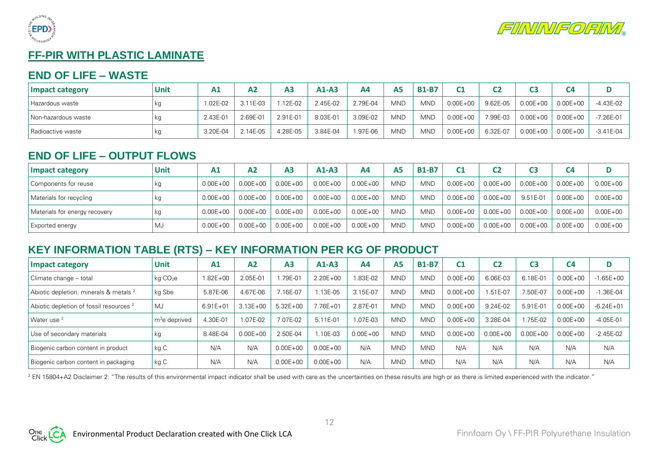



# **FF-PIR WITH PLASTIC LAMINATE**

#### **END OF LIFE – WASTE**

| Impact category     | Unit | A <sub>1</sub> | А2       | A <sub>3</sub> | $A1-A3$  | Α4       | A <sub>5</sub> | <b>B1-B7</b> | C <sub>1</sub> | C2       |              | C <sub>4</sub> |               |
|---------------------|------|----------------|----------|----------------|----------|----------|----------------|--------------|----------------|----------|--------------|----------------|---------------|
| Hazardous waste     | кg   | .02E-02        | 3.11E-03 | $.12E-02$      | 2.45E-02 | 2.79E-04 | <b>MND</b>     | <b>MND</b>   | $0.00E + 00$   | 9.62E-05 | $0.00E + 00$ | $0.00E + 00$   | -4.43E-02     |
| Non-hazardous waste | кg   | 2.43E-01       | 2.69E-01 | 2.91E-01       | 8.03E-01 | 3.09E-02 | <b>MND</b>     | <b>MND</b>   | $0.00E + 00$   | 7.99E-03 | $0.00E + 00$ | $0.00E + 00$   | $-7.26E - 01$ |
| Radioactive waste   | кg   | 3.20E-04       | $14E-05$ | 4.28E-05       | 3.84E-04 | 1.97E-06 | <b>MND</b>     | <b>MND</b>   | $0.00E + 00$   | 6.32E-07 | $0.00E + 00$ | $0.00E + 00$   | $-3.41E-04$   |

## **END OF LIFE – OUTPUT FLOWS**

| Impact category               | Unit | A1           | Α2           | A <sub>3</sub> | $A1-A3$      | A4           | A <sub>5</sub> | <b>B1-B7</b> | C <sub>1</sub> | C <sub>2</sub> |              | C <sub>4</sub> |              |
|-------------------------------|------|--------------|--------------|----------------|--------------|--------------|----------------|--------------|----------------|----------------|--------------|----------------|--------------|
| Components for reuse          | кg   | $0.00E + 00$ | $0.00E + 00$ | $0.00E + 00$   | $0.00E + 00$ | $0.00E + 00$ | <b>MND</b>     | <b>MND</b>   | $0.00E + 00$   | $0.00E + 00$   | $0.00E + 00$ | $0.00E + 00$   | $0.00E + 00$ |
| Materials for recycling       | кg   | $0.00E + 00$ | $0.00E + 00$ | $0.00E + 00$   | $0.00E + 00$ | $0.00E + 00$ | <b>MND</b>     | <b>MND</b>   | $0.00E + 00$   | $0.00E + 00$   | 9.51E-01     | $0.00E + 00$   | $0.00E + 00$ |
| Materials for energy recovery | кg   | $0.00E + 00$ | $0.00E + 00$ | $0.00E + 00$   | $0.00E + 00$ | $0.00E + 00$ | <b>MND</b>     | <b>MND</b>   | $0.00E + 00$   | $0.00E + 00$   | $0.00E + 00$ | $0.00E + 00$   | $0.00E + 00$ |
| Exported energy               | MJ   | $0.00E + 00$ | $0.00E + 00$ | $0.00E + 00$   | $0.00E + 00$ | $0.00E + 00$ | <b>MND</b>     | <b>MND</b>   | $0.00E + 00$   | $0.00E + 00$   | $0.00E + 00$ | $0.00E + 00$   | $0.00E + 00$ |

## **KEY INFORMATION TABLE (RTS) – KEY INFORMATION PER KG OF PRODUCT**

| <b>Impact category</b>                             | <b>Unit</b>               | A1           | A <sub>2</sub> | A <sub>3</sub> | $A1-A3$      | A4           | A <sub>5</sub> | <b>B1-B7</b> | C1           | C <sub>2</sub> | C3           | C <sub>4</sub> |               |
|----------------------------------------------------|---------------------------|--------------|----------------|----------------|--------------|--------------|----------------|--------------|--------------|----------------|--------------|----------------|---------------|
| Climate change - total                             | kg CO <sub>2</sub> e      | $1.82E + 00$ | 2.05E-01       | .79E-01        | $2.20E + 00$ | .83E-02      | <b>MND</b>     | <b>MND</b>   | $0.00E + 00$ | 6.06E-03       | 6.18E-01     | $0.00E + 00$   | $-1.65E + 00$ |
| Abiotic depletion. minerals & metals <sup>2</sup>  | kg Sbe                    | 5.87E-06     | 4.67E-06       | 16E-07         | $.13E-05$    | 3.15E-07     | <b>MND</b>     | <b>MND</b>   | $0.00E + 00$ | 1.51E-07       | 7.50E-07     | $0.00E + 00$   | $-1.36E - 04$ |
| Abiotic depletion of fossil resources <sup>2</sup> | MJ                        | $6.91E + 01$ | $3.13E + 00$   | $5.32E + 00$   | $7.76E + 01$ | 2.87E-01     | <b>MND</b>     | <b>MND</b>   | $0.00E + 00$ | 9.24E-02       | 5.91E-01     | $0.00E + 00$   | $-6.24E + 01$ |
| Water use <sup>2</sup>                             | m <sup>3</sup> e deprived | 4.30E-01     | L07E-02        | 7.07E-02       | 5.11E-01     | 1.07E-03     | <b>MND</b>     | <b>MND</b>   | $0.00E + 00$ | 3.28E-04       | .75E-02      | $0.00E + 00$   | $-4.05E - 01$ |
| Use of secondary materials                         | kg                        | 8.48E-04     | $0.00E + 00$   | 2.50E-04       | 1.10E-03     | $0.00E + 00$ | <b>MND</b>     | <b>MND</b>   | $0.00E + 00$ | $0.00E + 00$   | $0.00E + 00$ | $0.00E + 00$   | $-2.45E-02$   |
| Biogenic carbon content in product                 | kg C                      | N/A          | N/A            | $0.00E + 00$   | $0.00E + 00$ | N/A          | <b>MND</b>     | <b>MND</b>   | N/A          | N/A            | N/A          | N/A            | N/A           |
| Biogenic carbon content in packaging               | kg C                      | N/A          | N/A            | $0.00E + 00$   | $0.00E + 00$ | N/A          | <b>MND</b>     | <b>MND</b>   | N/A          | N/A            | N/A          | N/A            | N/A           |

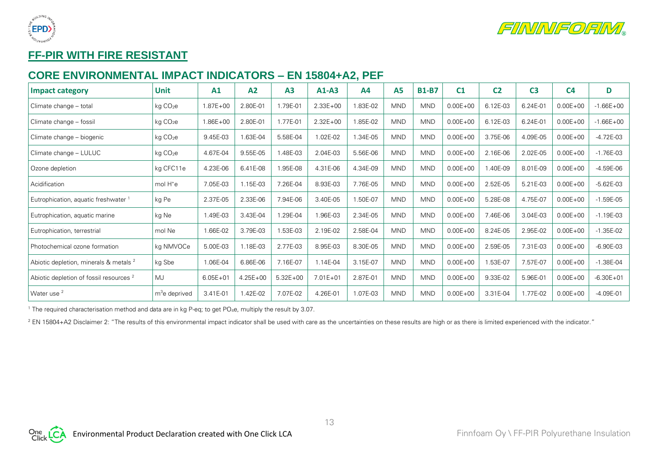



# **FF-PIR WITH FIRE RESISTANT**

## **CORE ENVIRONMENTAL IMPACT INDICATORS – EN 15804+A2, PEF**

| Impact category                                    | <b>Unit</b>          | A1           | A2           | A3           | $A1-A3$      | A <sub>4</sub> | <b>A5</b>  | <b>B1-B7</b> | C <sub>1</sub> | C <sub>2</sub> | C <sub>3</sub> | C <sub>4</sub> | D             |
|----------------------------------------------------|----------------------|--------------|--------------|--------------|--------------|----------------|------------|--------------|----------------|----------------|----------------|----------------|---------------|
| Climate change - total                             | kg CO <sub>2</sub> e | $1.87E + 00$ | 2.80E-01     | 1.79E-01     | $2.33E + 00$ | 1.83E-02       | <b>MND</b> | <b>MND</b>   | $0.00E + 00$   | 6.12E-03       | 6.24E-01       | $0.00E + 00$   | $-1.66E + 00$ |
| Climate change - fossil                            | kg CO <sub>2</sub> e | $.86E + 00$  | 2.80E-01     | 1.77E-01     | $2.32E + 00$ | 1.85E-02       | <b>MND</b> | <b>MND</b>   | $0.00E + 00$   | 6.12E-03       | 6.24E-01       | $0.00E + 00$   | $-1.66E + 00$ |
| Climate change – biogenic                          | kg CO <sub>2</sub> e | 9.45E-03     | 1.63E-04     | 5.58E-04     | 1.02E-02     | 1.34E-05       | <b>MND</b> | <b>MND</b>   | $0.00E + 00$   | 3.75E-06       | 4.09E-05       | $0.00E + 00$   | $-4.72E-03$   |
| Climate change - LULUC                             | kg CO <sub>2</sub> e | 4.67E-04     | 9.55E-05     | 1.48E-03     | 2.04E-03     | 5.56E-06       | <b>MND</b> | <b>MND</b>   | $0.00E + 00$   | 2.16E-06       | 2.02E-05       | $0.00E + 00$   | $-1.76E-03$   |
| Ozone depletion                                    | kg CFC11e            | 4.23E-06     | 6.41E-08     | 1.95E-08     | 4.31E-06     | 4.34E-09       | <b>MND</b> | <b>MND</b>   | $0.00E + 00$   | .40E-09        | 8.01E-09       | $0.00E + 00$   | $-4.59E-06$   |
| Acidification                                      | mol H <sup>+</sup> e | 7.05E-03     | 1.15E-03     | 7.26E-04     | 8.93E-03     | 7.76E-05       | <b>MND</b> | <b>MND</b>   | $0.00E + 00$   | 2.52E-05       | 5.21E-03       | $0.00E + 00$   | $-5.62E-03$   |
| Eutrophication, aquatic freshwater 1               | kg Pe                | 2.37E-05     | 2.33E-06     | 7.94E-06     | 3.40E-05     | 1.50E-07       | <b>MND</b> | <b>MND</b>   | $0.00E + 00$   | 5.28E-08       | 4.75E-07       | $0.00E + 00$   | $-1.59E-05$   |
| Eutrophication, aquatic marine                     | kg Ne                | .49E-03      | 3.43E-04     | 1.29E-04     | .96E-03      | 2.34E-05       | <b>MND</b> | <b>MND</b>   | $0.00E + 00$   | 7.46E-06       | 3.04E-03       | $0.00E + 00$   | $-1.19E-03$   |
| Eutrophication, terrestrial                        | mol Ne               | .66E-02      | 3.79E-03     | 1.53E-03     | 2.19E-02     | 2.58E-04       | <b>MND</b> | <b>MND</b>   | $0.00E + 00$   | 8.24E-05       | 2.95E-02       | $0.00E + 00$   | $-1.35E-02$   |
| Photochemical ozone formation                      | kg NMVOCe            | 5.00E-03     | 1.18E-03     | 2.77E-03     | 8.95E-03     | 8.30E-05       | <b>MND</b> | <b>MND</b>   | $0.00E + 00$   | 2.59E-05       | 7.31E-03       | $0.00E + 00$   | $-6.90E-03$   |
| Abiotic depletion, minerals & metals <sup>2</sup>  | kg Sbe               | 1.06E-04     | 6.86E-06     | 7.16E-07     | 1.14E-04     | 3.15E-07       | <b>MND</b> | <b>MND</b>   | $0.00E + 00$   | 1.53E-07       | 7.57E-07       | $0.00E + 00$   | $-1.38E - 04$ |
| Abiotic depletion of fossil resources <sup>2</sup> | MJ                   | $6.05E + 01$ | $4.25E + 00$ | $5.32E + 00$ | $7.01E + 01$ | 2.87E-01       | <b>MND</b> | <b>MND</b>   | $0.00E + 00$   | 9.33E-02       | 5.96E-01       | $0.00E + 00$   | $-6.30E + 01$ |
| Water use <sup>2</sup>                             | $m3e$ deprived       | 3.41E-01     | 1.42E-02     | 7.07E-02     | 4.26E-01     | 1.07E-03       | <b>MND</b> | <b>MND</b>   | $0.00E + 00$   | 3.31E-04       | 1.77E-02       | $0.00E + 00$   | $-4.09E - 01$ |

<sup>1</sup> The required characterisation method and data are in kg P-eq; to get PO<sub>4</sub>e, multiply the result by 3.07.

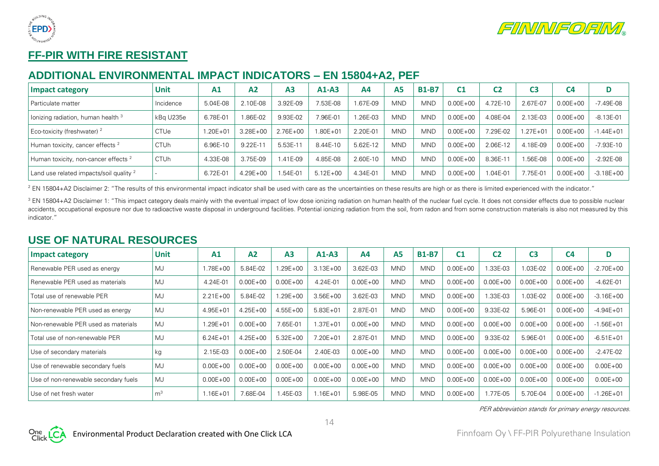



# **FF-PIR WITH FIRE RESISTANT**

## **ADDITIONAL ENVIRONMENTAL IMPACT INDICATORS – EN 15804+A2, PEF**

| Impact category                                    | Unit        | A1           | A2           | A <sub>3</sub> | $A1-A3$      | Α4       | <b>A5</b>  | <b>B1-B7</b> | C1           | C2         | C3           | C4           |               |
|----------------------------------------------------|-------------|--------------|--------------|----------------|--------------|----------|------------|--------------|--------------|------------|--------------|--------------|---------------|
| l Particulate matter                               | Incidence   | 5.04E-08     | 2.10E-08     | 3.92E-09       | 7.53E-08     | 1.67E-09 | MND        | <b>MND</b>   | $0.00E + 00$ | 4.72E-10   | 2.67E-07     | $0.00E + 00$ | $-7.49E - 08$ |
| lonizing radiation, human health 3                 | kBg U235e   | 6.78E-01     | 86E-02       | 9.93E-02       | 7.96E-01     | 1.26E-03 | <b>MND</b> | <b>MND</b>   | $0.00E + 00$ | 4.08E-04   | 2.13E-03     | $0.00E + 00$ | $-8.13E - 01$ |
| Eco-toxicity (freshwater) <sup>2</sup>             | <b>CTUe</b> | $1.20E + 01$ | $3.28E + 00$ | $2.76E + 00$   | $1.80E + 01$ | 2.20E-01 | <b>MND</b> | <b>MND</b>   | $0.00E + 00$ | $.29E-02$  | $1.27E + 01$ | $0.00E + 00$ | $-1.44E + 01$ |
| Human toxicity, cancer effects <sup>2</sup>        | <b>CTUh</b> | 6.96E-10     | $9.22E-1$    | 5.53E-11       | 8.44E-10     | 5.62E-12 | <b>MND</b> | <b>MND</b>   | $0.00E + 00$ | 2.06E-12   | 4.18E-09     | $0.00E + 00$ | $-7.93E - 10$ |
| Human toxicity, non-cancer effects <sup>2</sup>    | <b>CTUh</b> | 4.33E-08     | 3.75E-09     | $.41E - 0.9$   | 4.85E-08     | 2.60E-10 | <b>MND</b> | <b>MND</b>   | $0.00E + 00$ | 8.36E-1    | .56E-08      | $0.00E + 00$ | $-2.92E-08$   |
| Land use related impacts/soil quality <sup>2</sup> |             | 6.72E-01     | $4.29E + 00$ | $.54E-01$      | $5.12E + 00$ | 4.34E-01 | <b>MND</b> | <b>MND</b>   | $0.00E + 00$ | $.04E - 0$ | 7.75E-01     | $0.00E + 00$ | $-3.18E + 00$ |

<sup>2</sup> EN 15804+A2 Disclaimer 2: "The results of this environmental impact indicator shall be used with care as the uncertainties on these results are high or as there is limited experienced with the indicator."

<sup>3</sup> EN 15804+A2 Disclaimer 1: "This impact category deals mainly with the eventual impact of low dose ionizing radiation on human health of the nuclear fuel cycle. It does not consider effects due to possible nuclear accidents, occupational exposure nor due to radioactive waste disposal in underground facilities. Potential ionizing radiation from the soil, from radon and from some construction materials is also not measured by this indicator."

#### **USE OF NATURAL RESOURCES**

| <b>Impact category</b>               | <b>Unit</b>    | A1           | A2           | A <sub>3</sub> | $A1-A3$      | A <sub>4</sub> | A <sub>5</sub> | <b>B1-B7</b> | C <sub>1</sub> | C <sub>2</sub> | C <sub>3</sub> | C <sub>4</sub> | D             |
|--------------------------------------|----------------|--------------|--------------|----------------|--------------|----------------|----------------|--------------|----------------|----------------|----------------|----------------|---------------|
| Renewable PER used as energy         | MJ             | $1.78E + 00$ | 5.84E-02     | $.29E + 00$    | $3.13E + 00$ | 3.62E-03       | <b>MND</b>     | <b>MND</b>   | $0.00E + 00$   | 1.33E-03       | .03E-02        | $0.00E + 00$   | $-2.70E + 00$ |
| Renewable PER used as materials      | MJ             | 4.24E-01     | $0.00E + 00$ | $0.00E + 00$   | 4.24E-01     | $0.00E + 00$   | <b>MND</b>     | <b>MND</b>   | $0.00E + 00$   | $0.00E + 00$   | $0.00E + 00$   | $0.00E + 00$   | $-4.62E - 01$ |
| Total use of renewable PER           | <b>MJ</b>      | $2.21E + 00$ | 5.84E-02     | $.29E + 00$    | $3.56E + 00$ | 3.62E-03       | <b>MND</b>     | <b>MND</b>   | $0.00E + 00$   | 1.33E-03       | 1.03E-02       | $0.00E + 00$   | $-3.16E + 00$ |
| Non-renewable PER used as energy     | MJ             | $4.95E + 01$ | $4.25E + 00$ | $4.55E + 00$   | $5.83E + 01$ | 2.87E-01       | <b>MND</b>     | <b>MND</b>   | $0.00E + 00$   | 9.33E-02       | 5.96E-01       | $0.00E + 00$   | $-4.94E + 01$ |
| Non-renewable PER used as materials  | MJ             | $1.29E + 01$ | $0.00E + 00$ | 7.65E-01       | $1.37E + 01$ | $0.00E + 00$   | <b>MND</b>     | <b>MND</b>   | $0.00E + 00$   | $0.00E + 00$   | $0.00E + 00$   | $0.00E + 00$   | $-1.56E + 01$ |
| Total use of non-renewable PER       | MJ             | $6.24E + 01$ | $4.25E + 00$ | $5.32E + 00$   | $7.20E + 01$ | 2.87E-01       | <b>MND</b>     | <b>MND</b>   | $0.00E + 00$   | 9.33E-02       | 5.96E-01       | $0.00E + 00$   | $-6.51E + 01$ |
| Use of secondary materials           | kg             | 2.15E-03     | $0.00E + 00$ | 2.50E-04       | 2.40E-03     | $0.00E + 00$   | <b>MND</b>     | <b>MND</b>   | $0.00E + 00$   | $0.00E + 00$   | $0.00E + 00$   | $0.00E + 00$   | $-2.47E-02$   |
| Use of renewable secondary fuels     | MJ             | $0.00E + 00$ | $0.00E + 00$ | $0.00E + 00$   | $0.00E + 00$ | $0.00E + 00$   | <b>MND</b>     | <b>MND</b>   | $0.00E + 00$   | $0.00E + 00$   | $0.00E + 00$   | $0.00E + 00$   | $0.00E + 00$  |
| Use of non-renewable secondary fuels | MJ             | $0.00E + 00$ | $0.00E + 00$ | $0.00E + 00$   | $0.00E + 00$ | $0.00E + 00$   | <b>MND</b>     | <b>MND</b>   | $0.00E + 00$   | $0.00E + 00$   | $0.00E + 00$   | $0.00E + 00$   | $0.00E + 00$  |
| Use of net fresh water               | m <sup>3</sup> | $1.16E + 01$ | 7.68E-04     | .45E-03        | $1.16E + 01$ | 5.98E-05       | <b>MND</b>     | <b>MND</b>   | $0.00E + 00$   | 1.77E-05       | 5.70E-04       | $0.00E + 00$   | $-1.26E + 01$ |

PER abbreviation stands for primary energy resources.

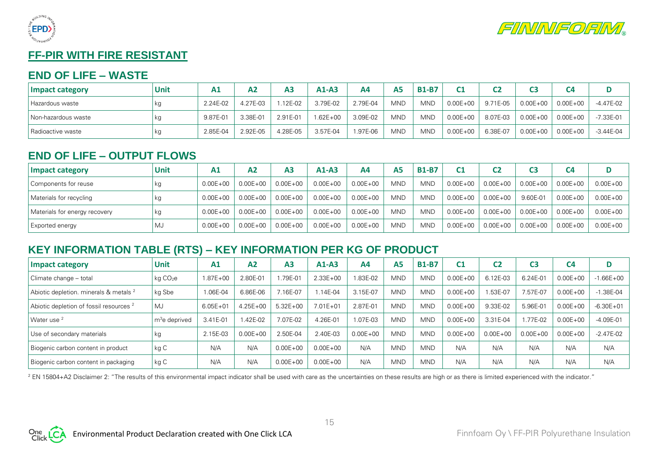



# **FF-PIR WITH FIRE RESISTANT**

#### **END OF LIFE – WASTE**

| Impact category     | Unit | A <sub>1</sub> | А2       | ΑЗ       | $A1-A3$  | Α4       | A <sub>5</sub> | <b>B1-B7</b> | <b>C1</b>    | C2       |              | C4           |               |
|---------------------|------|----------------|----------|----------|----------|----------|----------------|--------------|--------------|----------|--------------|--------------|---------------|
| Hazardous waste     | кg   | 2.24E-02       | 4.27E-03 | .12E-02  | 3.79E-02 | 2.79E-04 | MND            | <b>MND</b>   | $0.00E + 00$ | 9.71E-05 | $0.00E + 00$ | $0.00E + 00$ | -4.47E-02     |
| Non-hazardous waste | кg   | 9.87E-01       | 3.38E-01 | 2.91E-01 | 1.62E+00 | 3.09E-02 | <b>MND</b>     | <b>MND</b>   | $0.00E + 00$ | 8.07E-03 | $0.00E + 00$ | $0.00E + 00$ | $-7.33E - 01$ |
| l Radioactive waste | кg   | 2.85E-04       | 2.92E-05 | 4.28E-05 | 3.57E-04 | 1.97E-06 | <b>MND</b>     | <b>MND</b>   | $0.00E + 00$ | 6.38E-07 | $0.00E + 00$ | $0.00E + 00$ | $-3.44E-04$   |

## **END OF LIFE – OUTPUT FLOWS**

| Impact category               | Unit | A <sub>1</sub> | A2           | A <sub>3</sub> | $A1-A3$      | Α4           | <b>A5</b>  | <b>B1-B7</b> | C1           | C <sub>2</sub> |              | C <sub>4</sub> |              |
|-------------------------------|------|----------------|--------------|----------------|--------------|--------------|------------|--------------|--------------|----------------|--------------|----------------|--------------|
| Components for reuse          | кg   | $0.00E + 00$   | $0.00E + 00$ | $0.00E + 00$   | $0.00E + 00$ | $0.00E + 00$ | <b>MND</b> | <b>MND</b>   | $0.00E + 00$ | $0.00E + 00$   | $0.00E + 00$ | $0.00E + 00$   | $0.00E + 00$ |
| Materials for recycling       | кg   | $0.00E + 00$   | $0.00E + 00$ | $0.00E + 00$   | $0.00E + 00$ | $0.00E + 00$ | <b>MND</b> | <b>MND</b>   | $0.00E + 00$ | $0.00E + 00$   | 9.60E-01     | $0.00E + 00$   | $0.00E + 00$ |
| Materials for energy recovery | кg   | $0.00E + 00$   | $0.00E + 00$ | $0.00E + 00$   | $0.00E + 00$ | $0.00E + 00$ | <b>MND</b> | <b>MND</b>   | $0.00E + 00$ | $0.00E + 00$   | $0.00E + 00$ | $0.00E + 00$   | $0.00E + 00$ |
| <b>Exported energy</b>        | MJ   | $0.00E + 00$   | $0.00E + 00$ | $0.00E + 00$   | $0.00E + 00$ | $0.00E + 00$ | <b>MND</b> | <b>MND</b>   | $0.00E + 00$ | $0.00E + 00$   | $0.00E + 00$ | $0.00E + 00$   | $0.00E + 00$ |

# **KEY INFORMATION TABLE (RTS) – KEY INFORMATION PER KG OF PRODUCT**

| <b>Impact category</b>                             | <b>Unit</b>          | A1           | A <sub>2</sub> | A <sub>3</sub> | $A1-A3$      | A4           | A5         | <b>B1-B7</b> | C <sub>1</sub> | C2           | C3           | C <sub>4</sub> | D             |
|----------------------------------------------------|----------------------|--------------|----------------|----------------|--------------|--------------|------------|--------------|----------------|--------------|--------------|----------------|---------------|
| Climate change - total                             | kg CO <sub>2</sub> e | $1.87E + 00$ | 2.80E-01       | .79E-01        | $2.33E + 00$ | 1.83E-02     | <b>MND</b> | <b>MND</b>   | $0.00E + 00$   | 6.12E-03     | 6.24E-01     | $0.00E + 00$   | $-1.66E + 00$ |
| Abiotic depletion. minerals & metals <sup>2</sup>  | kg Sbe               | 1.06E-04     | 6.86E-06       | 16E-07         | $.14E - 04$  | 3.15E-07     | <b>MND</b> | <b>MND</b>   | $0.00E + 00$   | .53E-07      | 7.57E-07     | $0.00E + 00$   | $-1.38E - 04$ |
| Abiotic depletion of fossil resources <sup>2</sup> | MJ                   | $6.05E + 01$ | $4.25E + 00$   | $5.32E + 00$   | $7.01E + 01$ | 2.87E-01     | <b>MND</b> | <b>MND</b>   | $0.00E + 00$   | 9.33E-02     | 5.96E-01     | $0.00E + 00$   | $-6.30E + 01$ |
| Water use <sup>2</sup>                             | $m3e$ deprived       | 3.41E-01     | .42E-02        | 07E-02         | 4.26E-01     | 1.07E-03     | <b>MND</b> | <b>MND</b>   | $0.00E + 00$   | 3.31E-04     | .77E-02      | $0.00E + 00$   | $-4.09E - 01$ |
| Use of secondary materials                         | kg                   | 2.15E-03     | $0.00E + 00$   | 2.50E-04       | 2.40E-03     | $0.00E + 00$ | <b>MND</b> | <b>MND</b>   | $0.00E + 00$   | $0.00E + 00$ | $0.00E + 00$ | $0.00E + 00$   | $-2.47E-02$   |
| Biogenic carbon content in product                 | kg C                 | N/A          | N/A            | $0.00E + 00$   | $0.00E + 00$ | N/A          | <b>MND</b> | <b>MND</b>   | N/A            | N/A          | N/A          | N/A            | N/A           |
| Biogenic carbon content in packaging               | kg C                 | N/A          | N/A            | $0.00E + 00$   | $0.00E + 00$ | N/A          | <b>MND</b> | <b>MND</b>   | N/A            | N/A          | N/A          | N/A            | N/A           |

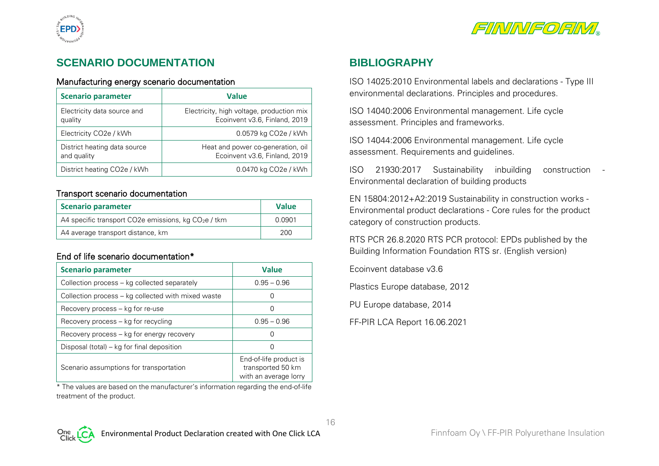



# **SCENARIO DOCUMENTATION**

#### Manufacturing energy scenario documentation

| <b>Scenario parameter</b>                   | <b>Value</b>                                                               |
|---------------------------------------------|----------------------------------------------------------------------------|
| Electricity data source and<br>quality      | Electricity, high voltage, production mix<br>Ecoinvent v3.6, Finland, 2019 |
| Electricity CO <sub>2</sub> e / kWh         | 0.0579 kg CO <sub>2</sub> e / kWh                                          |
| District heating data source<br>and quality | Heat and power co-generation, oil<br>Ecoinvent v3.6, Finland, 2019         |
| District heating CO <sub>2</sub> e / kWh    | 0.0470 kg CO <sub>2</sub> e / kWh                                          |

#### Transport scenario documentation

| <b>Scenario parameter</b>                             | <b>Value</b> |
|-------------------------------------------------------|--------------|
| A4 specific transport CO2e emissions, kg $CO2e$ / tkm | 0.0901       |
| A4 average transport distance, km                     | 200          |

#### End of life scenario documentation\*

| <b>Scenario parameter</b>                          | <b>Value</b>                                                         |
|----------------------------------------------------|----------------------------------------------------------------------|
| Collection process - kg collected separately       | $0.95 - 0.96$                                                        |
| Collection process - kg collected with mixed waste |                                                                      |
| Recovery process – kg for re-use                   |                                                                      |
| Recovery process - kg for recycling                | $0.95 - 0.96$                                                        |
| Recovery process – kg for energy recovery          | 0                                                                    |
| Disposal (total) – kg for final deposition         | 0                                                                    |
| Scenario assumptions for transportation            | End-of-life product is<br>transported 50 km<br>with an average lorry |

\* The values are based on the manufacturer's information regarding the end-of-life treatment of the product.

#### **BIBLIOGRAPHY**

ISO 14025:2010 Environmental labels and declarations - Type III environmental declarations. Principles and procedures.

ISO 14040:2006 Environmental management. Life cycle assessment. Principles and frameworks.

ISO 14044:2006 Environmental management. Life cycle assessment. Requirements and guidelines.

ISO 21930:2017 Sustainability inbuilding construction - Environmental declaration of building products

EN 15804:2012+A2:2019 Sustainability in construction works - Environmental product declarations - Core rules for the product category of construction products.

RTS PCR 26.8.2020 RTS PCR protocol: EPDs published by the Building Information Foundation RTS sr. (English version)

Ecoinvent database v3.6

Plastics Europe database, 2012

PU Europe database, 2014

FF-PIR LCA Report 16.06.2021

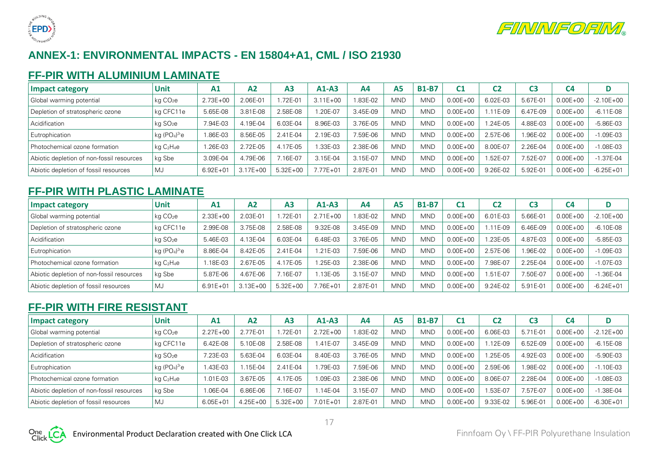



# **ANNEX-1: ENVIRONMENTAL IMPACTS - EN 15804+A1, CML / ISO 21930**

#### **FF-PIR WITH ALUMINIUM LAMINATE**

| Impact category                           | <b>Unit</b>                        | A1           | A <sub>2</sub> | A <sub>3</sub> | $A1-A3$      | A4       | <b>A5</b>  | <b>B1-B7</b> | C <sub>1</sub> | C2          |          | C4           |               |
|-------------------------------------------|------------------------------------|--------------|----------------|----------------|--------------|----------|------------|--------------|----------------|-------------|----------|--------------|---------------|
| Global warming potential                  | kg CO <sub>2</sub> e               | $2.73E + 00$ | 2.06E-01       | .72E-01        | $3.11E + 00$ | 1.83E-02 | <b>MND</b> | <b>MND</b>   | $0.00E + 00$   | 6.02E-03    | 5.67E-01 | $0.00E + 00$ | $-2.10E + 00$ |
| Depletion of stratospheric ozone          | kg CFC11e                          | 5.65E-08     | 3.81E-08       | 2.58E-08       | $.20E - 07$  | 3.45E-09 | <b>MND</b> | <b>MND</b>   | $0.00E + 00$   | 11E-09      | 6.47E-09 | $0.00E + 00$ | $-6.11E-08$   |
| Acidification                             | kg SO <sub>2</sub> e               | 7.94E-03     | 4.19E-04       | 6.03E-04       | 8.96E-03     | 3.76E-05 | MND        | <b>MND</b>   | $0.00E + 00$   | $.24E - 05$ | 4.88E-03 | $0.00E + 00$ | $-5.86E - 03$ |
| Eutrophication                            | kg $(PO4)3$ e                      | .86E-03      | 8.56E-05       | 2.41E-04       | 2.19E-03     | 7.59E-06 | <b>MND</b> | <b>MND</b>   | $0.00E + 00$   | 2.57E-06    | .96E-02  | $0.00E + 00$ | $-1.09E - 03$ |
| Photochemical ozone formation             | kg C <sub>2</sub> H <sub>4</sub> e | .26E-03      | 2.72E-05       | 4.17E-05       | $.33E-03$    | 2.38E-06 | <b>MND</b> | <b>MND</b>   | $0.00E + 00$   | 8.00E-07    | 2.26E-04 | $0.00E + 00$ | $-1.08E - 03$ |
| Abiotic depletion of non-fossil resources | kg Sbe                             | 3.09E-04     | 4.79E-06       | .16E-07        | 3.15E-04     | 3.15E-07 | <b>MND</b> | <b>MND</b>   | $0.00E + 00$   | $.52E-0$    | 7.52E-07 | $0.00E + 00$ | $-1.37E-04$   |
| Abiotic depletion of fossil resources     | MJ                                 | $6.92E + 01$ | $3.17E + 00$   | $5.32E + 00$   | $7.77E + 01$ | 2.87E-01 | <b>MND</b> | <b>MND</b>   | $0.00E + 00$   | 9.26E-02    | 5.92E-01 | $0.00E + 00$ | $-6.25E + 01$ |

# **FF-PIR WITH PLASTIC LAMINATE**

| Impact category                           | <b>Unit</b>                        | A <sub>1</sub> | A <sub>2</sub> | A <sub>3</sub> | $A1-A3$      | A4       | A <sub>5</sub> | <b>B1-B7</b> |              | C <sub>2</sub> |          | C <sub>4</sub> |               |
|-------------------------------------------|------------------------------------|----------------|----------------|----------------|--------------|----------|----------------|--------------|--------------|----------------|----------|----------------|---------------|
| Global warming potential                  | kg CO <sub>2</sub> e               | $2.33E + 00$   | 2.03E-01       | .72E-01        | $2.71E + 00$ | 1.83E-02 | <b>MND</b>     | <b>MND</b>   | $0.00E + 00$ | 6.01E-03       | 5.66E-01 | $0.00E + 00$   | $-2.10E + 00$ |
| Depletion of stratospheric ozone          | kg CFC11e                          | 2.99E-08       | 3.75E-08       | 2.58E-08       | 9.32E-08     | 3.45E-09 | <b>MND</b>     | <b>MND</b>   | $0.00E + 00$ | $.11E-0.9$     | 6.46E-09 | $0.00E + 00$   | $-6.10E-08$   |
| Acidification                             | kg SO <sub>2</sub> e               | 5.46E-03       | 4.13E-04       | 6.03E-04       | 6.48E-03     | 3.76E-05 | <b>MND</b>     | <b>MND</b>   | $0.00E + 00$ | .23E-05        | 4.87E-03 | $0.00E + 00$   | $-5.85E-03$   |
| Eutrophication                            | kg ( $PO4$ ) $^3$ e                | 8.86E-04       | 8.42E-05       | 2.41E-04       | $.21E - 0.3$ | 7.59E-06 | <b>MND</b>     | <b>MND</b>   | $0.00E + 00$ | 2.57E-06       | .96E-02  | $0.00E + 00$   | $-1.09E - 03$ |
| Photochemical ozone formation             | kg C <sub>2</sub> H <sub>4</sub> e | 1.18E-03       | 2.67E-05       | 4.17E-05       | .25E-03      | 2.38E-06 | <b>MND</b>     | <b>MND</b>   | $0.00E + 00$ | 7.98E-07       | 2.25E-04 | $0.00E + 00$   | $-1.07E-03$   |
| Abiotic depletion of non-fossil resources | kg Sbe                             | 5.87E-06       | 4.67E-06       | $.16E-07$      | 13E-05       | 3.15E-07 | <b>MND</b>     | <b>MND</b>   | $0.00E + 00$ | $.51E - 07$    | 7.50E-07 | $0.00E + 00$   | $-1.36E - 04$ |
| Abiotic depletion of fossil resources     | MJ                                 | $6.91E + 01$   | $3.13E + 00$   | $5.32E + 00$   | 7.76E+01     | 2.87E-01 | <b>MND</b>     | <b>MND</b>   | $0.00E + 00$ | 9.24E-02       | 5.91E-01 | $0.00E + 00$   | $-6.24E + 01$ |

#### **FF-PIR WITH FIRE RESISTANT**

| <b>Impact category</b>                    | Unit                                 | A1           | A2           | A <sub>3</sub> | $A1-A3$      | A4       | Α5         | <b>B1-B7</b> | C <sub>1</sub> | C2          |           | C4           |               |
|-------------------------------------------|--------------------------------------|--------------|--------------|----------------|--------------|----------|------------|--------------|----------------|-------------|-----------|--------------|---------------|
| Global warming potential                  | kg CO <sub>2</sub> e                 | $2.27E + 00$ | 2.77E-01     | 72E-01         | $2.72E + 00$ | 1.83E-02 | <b>MND</b> | <b>MND</b>   | $0.00E + 00$   | 6.06E-03    | $5.71E-0$ | $0.00E + 00$ | $-2.12E + 00$ |
| Depletion of stratospheric ozone          | kg CFC11e                            | 6.42E-08     | 5.10E-08     | 2.58E-08       | $1.41E-07$   | 3.45E-09 | <b>MND</b> | <b>MND</b>   | $0.00E + 00$   | $.12E-09$   | 6.52E-09  | $0.00E + 00$ | $-6.15E-08$   |
| Acidification                             | ka SO <sub>2</sub> e                 | .23E-03      | 5.63E-04     | 6.03E-04       | 8.40E-03     | 3.76E-05 | <b>MND</b> | <b>MND</b>   | $0.00E + 00$   | $.25E - 05$ | 4.92E-03  | $0.00E + 00$ | -5.90E-03     |
| Eutrophication                            | kg (PO <sub>4</sub> ) <sup>3</sup> e | .43E-03      | .15E-04      | 2.41E-04       | .79E-03      | 7.59E-06 | <b>MND</b> | <b>MND</b>   | $0.00E + 00$   | 2.59E-06    | .98E-02   | $0.00E + 00$ | $-1.10E-03$   |
| Photochemical ozone formation             | $kq$ $C_2H_4e$                       | 1.01E-03     | 3.67E-05     | 4.17E-05       | .09E-03      | 2.38E-06 | <b>MND</b> | <b>MND</b>   | $0.00E + 00$   | 8.06E-07    | 2.28E-04  | $0.00E + 00$ | $-1.08E - 03$ |
| Abiotic depletion of non-fossil resources | kg Sbe                               | $.06E-04$    | 6.86E-06     | $.16E-07$      | 1.14E-04     | 3.15E-07 | <b>MND</b> | <b>MND</b>   | $0.00E + 00$   | .53E-07     | 7.57E-07  | $0.00E + 00$ | $-1.38E - 04$ |
| Abiotic depletion of fossil resources     | MJ                                   | $6.05E + 01$ | $4.25E + 00$ | $5.32E + 00$   | $7.01E + 01$ | 2.87E-01 | <b>MND</b> | <b>MND</b>   | $0.00E + 00$   | 9.33E-02    | 5.96E-0   | $0.00E + 00$ | $-6.30E + 01$ |

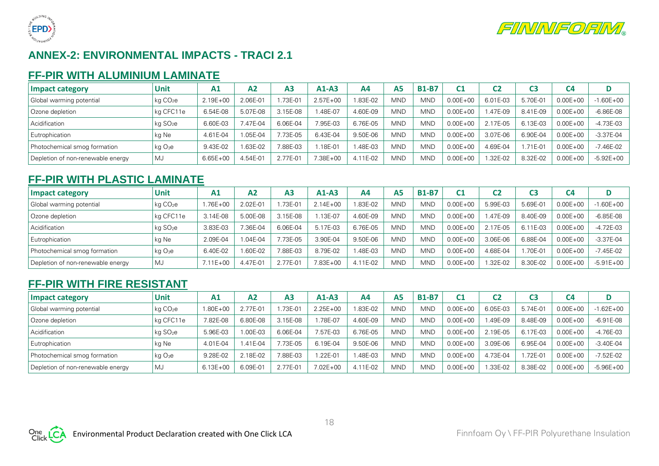



# **ANNEX-2: ENVIRONMENTAL IMPACTS - TRACI 2.1**

#### **FF-PIR WITH ALUMINIUM LAMINATE**

| Impact category                   | <b>Unit</b>          | A <sub>1</sub> | A2        | A <sub>3</sub> | $A1-A3$      | A4       | А5         | <b>B1-B7</b> |              | C2       |          | C <sub>4</sub> |               |
|-----------------------------------|----------------------|----------------|-----------|----------------|--------------|----------|------------|--------------|--------------|----------|----------|----------------|---------------|
| Global warming potential          | kg CO <sub>2</sub> e | 2.19E+00       | 2.06E-01  | .73E-01        | $2.57E + 00$ | 1.83E-02 | <b>MND</b> | <b>MND</b>   | $0.00E + 00$ | 6.01E-03 | 5.70E-01 | $0.00E + 00$   | $-1.60E + 00$ |
| Ozone depletion                   | kg CFC11e            | 6.54E-08       | 5.07E-08  | 3.15E-08       | .48E-07      | 4.60E-09 | <b>MND</b> | <b>MND</b>   | $0.00E + 00$ | .47E-09  | 8.41E-09 | $0.00E + 00$   | $-6.86E-08$   |
| Acidification                     | kg SO <sub>2</sub> e | 6.60E-03       | 7.47E-04  | 6.06E-04       | 7.95E-03     | 6.76E-05 | <b>MND</b> | <b>MND</b>   | $0.00E + 00$ | 2.17E-05 | 6.13E-03 | $0.00E + 00$   | $-4.73E-03$   |
| Eutrophication                    | kg Ne                | 4.61E-04       | $.05E-04$ | .73E-05        | 6.43E-04     | 9.50E-06 | <b>MND</b> | <b>MND</b>   | $0.00E + 00$ | 3.07E-06 | 6.90E-04 | $0.00E + 00$   | $-3.37E-04$   |
| Photochemical smog formation      | kg O <sub>3</sub> e  | 9.43E-02       | .63E-02   | 7.88E-03       | $.18E - 01$  | .48E-03  | <b>MND</b> | <b>MND</b>   | $0.00E + 00$ | 4.69E-04 | 1.71E-01 | $0.00E + 00$   | $-7.46E - 02$ |
| Depletion of non-renewable energy | MJ                   | $6.65E + 00$   | 4.54E-01  | 2.77E-01       | 7.38E+00     | 4.11E-02 | <b>MND</b> | <b>MND</b>   | $0.00E + 00$ | .32E-02  | 8.32E-02 | $0.00E + 00$   | $-5.92E + 00$ |

## **FF-PIR WITH PLASTIC LAMINATE**

| Impact category                   | Unit                 | A <sub>1</sub> | A <sub>2</sub> | A <sub>3</sub> | $A1-A3$      | Α4       | A <sub>5</sub> | <b>B1-B7</b> |              | C2        |          | C4           |               |
|-----------------------------------|----------------------|----------------|----------------|----------------|--------------|----------|----------------|--------------|--------------|-----------|----------|--------------|---------------|
| Global warming potential          | kg CO <sub>2</sub> e | 1.76E+00       | 2.02E-01       | .73E-01        | $2.14E + 00$ | 1.83E-02 | <b>MND</b>     | <b>MND</b>   | $0.00E + 00$ | 5.99E-03  | 5.69E-01 | $0.00E + 00$ | $-1.60E + 00$ |
| Ozone depletion                   | kg CFC11e            | 3.14E-08       | 5.00E-08       | 3.15E-08       | .13E-07      | 4.60E-09 | <b>MND</b>     | <b>MND</b>   | $0.00E + 00$ | .47E-09   | 8.40E-09 | $0.00E + 00$ | $-6.85E-08$   |
| Acidification                     | kg SO <sub>2</sub> e | 3.83E-03       | 7.36E-04       | 6.06E-04       | 5.17E-03     | 6.76E-05 | <b>MND</b>     | <b>MND</b>   | $0.00E + 00$ | 2.17E-05  | 6.11E-03 | $0.00E + 00$ | -4.72E-03     |
| Eutrophication                    | kg Ne                | 2.09E-04       | 1.04E-04       | .73E-05        | 3.90E-04     | 9.50E-06 | <b>MND</b>     | <b>MND</b>   | $0.00E + 00$ | 3.06E-06  | 6.88E-04 | $0.00E + 00$ | $-3.37E-04$   |
| Photochemical smog formation      | kg O <sub>3e</sub>   | 6.40E-02       | 1.60E-02       | 88E-03         | 8.79E-02     | .48E-03  | <b>MND</b>     | <b>MND</b>   | $0.00E + 00$ | 4.68E-04  | .70E-01  | $0.00E + 00$ | -7.45E-02     |
| Depletion of non-renewable energy | MJ                   | $7.11E + 00$   | 4.47E-01       | 2.77E-01       | $7.83E + 00$ | 4.11E-02 | <b>MND</b>     | <b>MND</b>   | $0.00E + 00$ | $.32E-02$ | 8.30E-02 | $0.00E + 00$ | $-5.91E+00$   |

# **FF-PIR WITH FIRE RESISTANT**

| Impact category                   | <b>Unit</b>          | A <sub>1</sub> | Α2       | A <sub>3</sub> | $A1-A3$      | Α4       | A <sub>5</sub> | <b>B1-B7</b> |              | C2       |             | C <sub>4</sub> |               |
|-----------------------------------|----------------------|----------------|----------|----------------|--------------|----------|----------------|--------------|--------------|----------|-------------|----------------|---------------|
| Global warming potential          | kg CO <sub>2</sub> e | $1.80E + 00$   | .77E-01  | .73E-01        | $2.25E + 00$ | .83E-02  | <b>MND</b>     | <b>MND</b>   | $0.00E + 00$ | 6.05E-03 | 5.74E-01    | $0.00E + 00$   | $-1.62E + 00$ |
| Ozone depletion                   | kg CFC11e            | 7.82E-08       | 6.80E-08 | 3.15E-08       | .78E-07      | 4.60E-09 | <b>MND</b>     | <b>MND</b>   | $0.00E + 00$ | .49E-09  | 8.48E-09    | $0.00E + 00$   | $-6.91E-08$   |
| Acidification                     | kg SO <sub>2</sub> e | 5.96E-03       | 1.00E-03 | 6.06E-04       | 7.57E-03     | 6.76E-05 | <b>MND</b>     | <b>MND</b>   | $0.00E + 00$ | 2.19E-05 | 6.17E-03    | $0.00E + 00$   | $-4.76E-03$   |
| Eutrophication                    | kg Ne                | 4.01E-04       | 1.41E-04 | .73E-05        | 6.19E-04     | 9.50E-06 | <b>MND</b>     | <b>MND</b>   | $0.00E + 00$ | 3.09E-06 | 6.95E-04    | $0.00E + 00$   | $-3.40E - 04$ |
| Photochemical smog formation      | kg O <sub>3</sub> e  | 9.28E-02       | 2.18E-02 | 7.88E-03       | $.22E - 01$  | .48E-03  | <b>MND</b>     | <b>MND</b>   | $0.00E + 00$ | 4.73E-04 | $.72E - 01$ | $0.00E + 00$   | $-7.52E - 02$ |
| Depletion of non-renewable energy | MJ                   | $6.13E + 00$   | 6.09E-01 | 2.77E-01       | $7.02E + 00$ | 4.11E-02 | MND            | <b>MND</b>   | $0.00E + 00$ | .33E-02  | 8.38E-02    | $0.00E + 00$   | $-5.96E + 00$ |